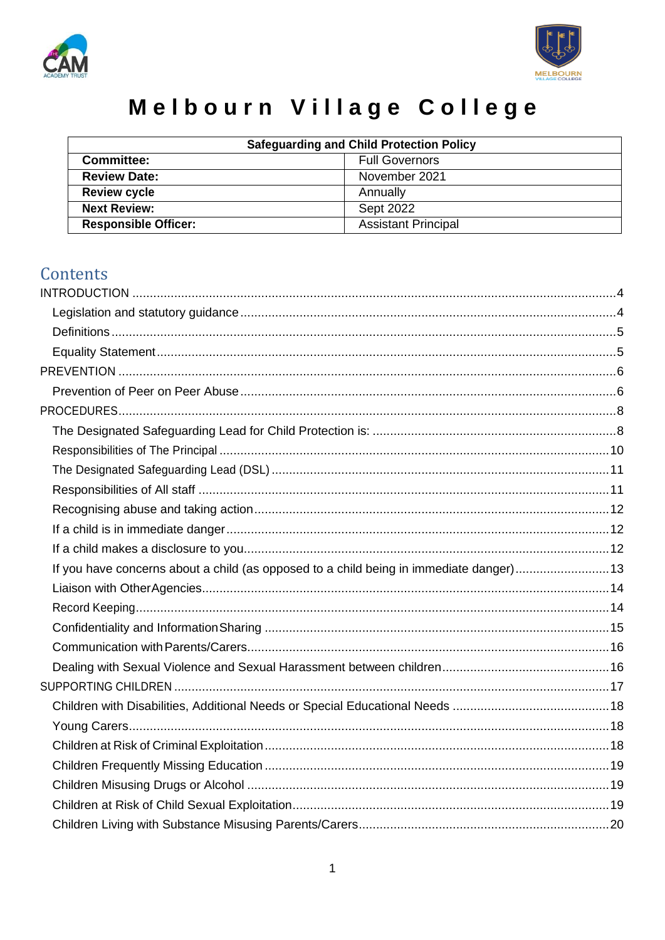



# Melbourn Village College

| <b>Safeguarding and Child Protection Policy</b> |                            |  |
|-------------------------------------------------|----------------------------|--|
| <b>Committee:</b>                               | <b>Full Governors</b>      |  |
| <b>Review Date:</b>                             | November 2021              |  |
| <b>Review cycle</b>                             | Annually                   |  |
| <b>Next Review:</b>                             | Sept 2022                  |  |
| <b>Responsible Officer:</b>                     | <b>Assistant Principal</b> |  |

## Contents

| If you have concerns about a child (as opposed to a child being in immediate danger)13 |  |
|----------------------------------------------------------------------------------------|--|
|                                                                                        |  |
|                                                                                        |  |
|                                                                                        |  |
|                                                                                        |  |
|                                                                                        |  |
|                                                                                        |  |
|                                                                                        |  |
|                                                                                        |  |
|                                                                                        |  |
|                                                                                        |  |
|                                                                                        |  |
|                                                                                        |  |
|                                                                                        |  |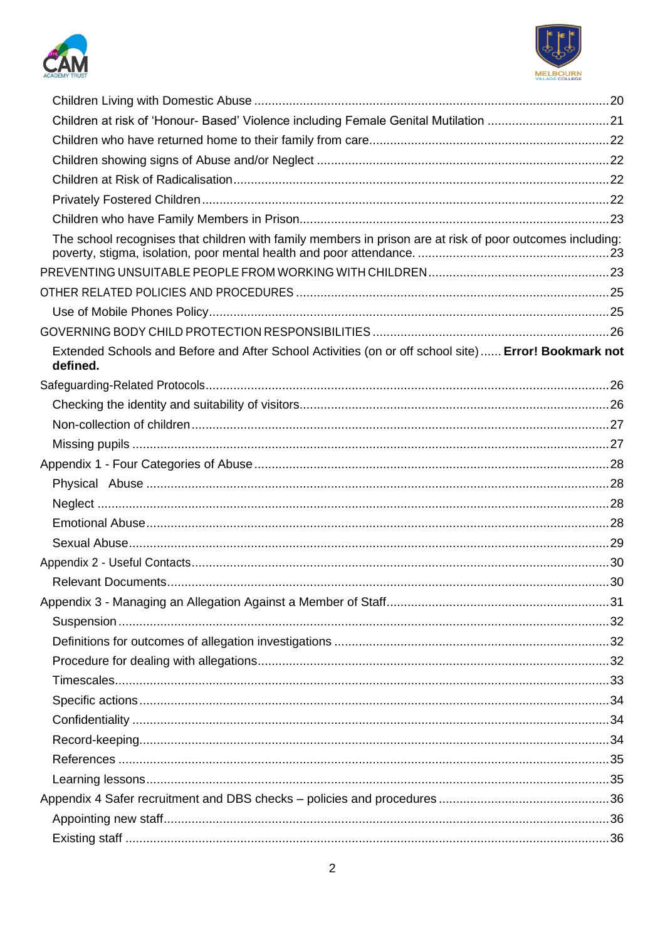



| Children at risk of 'Honour- Based' Violence including Female Genital Mutilation 21                             |  |
|-----------------------------------------------------------------------------------------------------------------|--|
|                                                                                                                 |  |
|                                                                                                                 |  |
|                                                                                                                 |  |
|                                                                                                                 |  |
|                                                                                                                 |  |
| The school recognises that children with family members in prison are at risk of poor outcomes including:       |  |
|                                                                                                                 |  |
|                                                                                                                 |  |
|                                                                                                                 |  |
|                                                                                                                 |  |
| Extended Schools and Before and After School Activities (on or off school site) Error! Bookmark not<br>defined. |  |
|                                                                                                                 |  |
|                                                                                                                 |  |
|                                                                                                                 |  |
|                                                                                                                 |  |
|                                                                                                                 |  |
|                                                                                                                 |  |
|                                                                                                                 |  |
|                                                                                                                 |  |
|                                                                                                                 |  |
|                                                                                                                 |  |
|                                                                                                                 |  |
|                                                                                                                 |  |
|                                                                                                                 |  |
|                                                                                                                 |  |
|                                                                                                                 |  |
|                                                                                                                 |  |
|                                                                                                                 |  |
|                                                                                                                 |  |
|                                                                                                                 |  |
|                                                                                                                 |  |
|                                                                                                                 |  |
|                                                                                                                 |  |
|                                                                                                                 |  |
|                                                                                                                 |  |
|                                                                                                                 |  |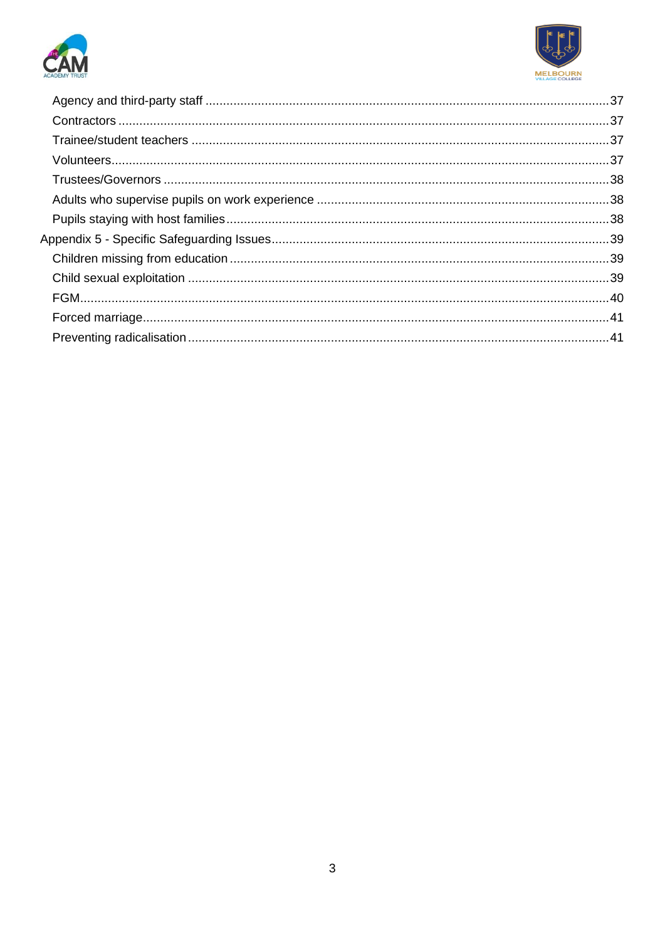

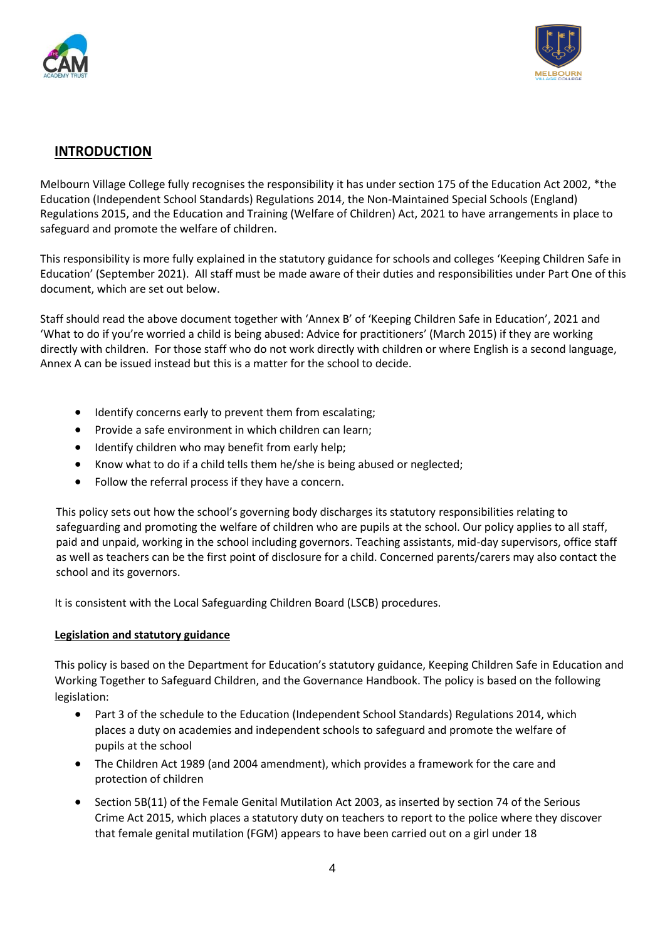



## <span id="page-3-0"></span>**INTRODUCTION**

Melbourn Village College fully recognises the responsibility it has under section 175 of the Education Act 2002, \*the Education (Independent School Standards) Regulations 2014, the Non-Maintained Special Schools (England) Regulations 2015, and the Education and Training (Welfare of Children) Act, 2021 to have arrangements in place to safeguard and promote the welfare of children.

This responsibility is more fully explained in the statutory guidance for schools and colleges 'Keeping Children Safe in Education' (September 2021). All staff must be made aware of their duties and responsibilities under Part One of this document, which are set out below.

Staff should read the above document together with 'Annex B' of 'Keeping Children Safe in Education', 2021 and 'What to do if you're worried a child is being abused: Advice for practitioners' (March 2015) if they are working directly with children. For those staff who do not work directly with children or where English is a second language, Annex A can be issued instead but this is a matter for the school to decide.

- Identify concerns early to prevent them from escalating;
- Provide a safe environment in which children can learn;
- Identify children who may benefit from early help;
- Know what to do if a child tells them he/she is being abused or neglected;
- Follow the referral process if they have a concern.

This policy sets out how the school's governing body discharges its statutory responsibilities relating to safeguarding and promoting the welfare of children who are pupils at the school. Our policy applies to all staff, paid and unpaid, working in the school including governors. Teaching assistants, mid-day supervisors, office staff as well as teachers can be the first point of disclosure for a child. Concerned parents/carers may also contact the school and its governors.

It is consistent with the Local Safeguarding Children Board (LSCB) procedures.

#### <span id="page-3-1"></span>**Legislation and statutory guidance**

This policy is based on the Department for Education's statutory guidance, Keeping Children Safe in Education and Working Together to Safeguard Children, and the Governance Handbook. The policy is based on the following legislation:

- Part 3 of the schedule to the Education (Independent School Standards) Regulations 2014, which places a duty on academies and independent schools to safeguard and promote the welfare of pupils at the school
- The Children Act 1989 (and 2004 amendment), which provides a framework for the care and protection of children
- Section 5B(11) of the Female Genital Mutilation Act 2003, as inserted by section 74 of the Serious Crime Act 2015, which places a statutory duty on teachers to report to the police where they discover that female genital mutilation (FGM) appears to have been carried out on a girl under 18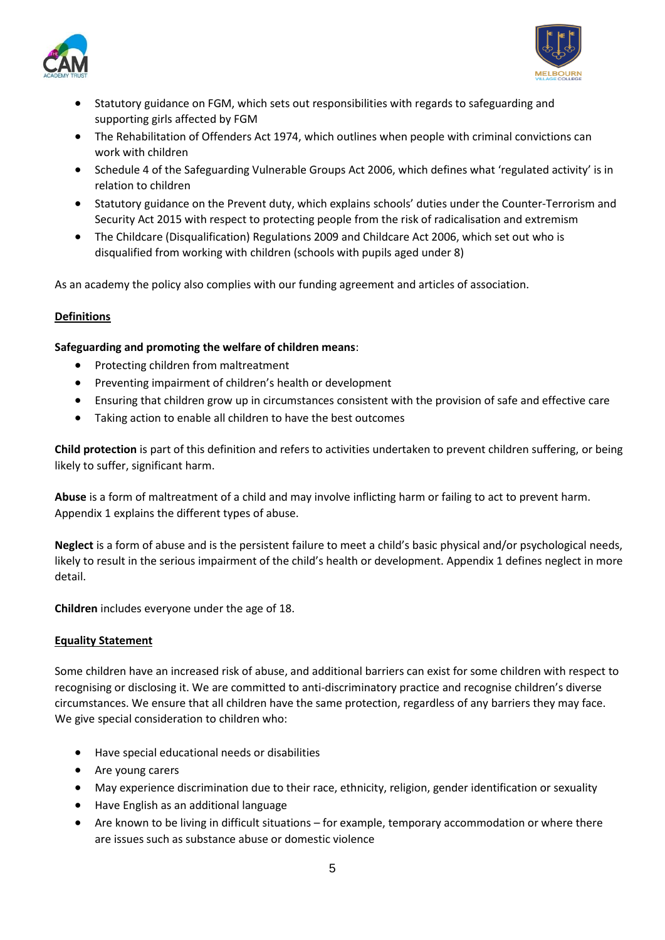



- Statutory guidance on FGM, which sets out responsibilities with regards to safeguarding and supporting girls affected by FGM
- The Rehabilitation of Offenders Act 1974, which outlines when people with criminal convictions can work with children
- Schedule 4 of the Safeguarding Vulnerable Groups Act 2006, which defines what 'regulated activity' is in relation to children
- Statutory guidance on the Prevent duty, which explains schools' duties under the Counter-Terrorism and Security Act 2015 with respect to protecting people from the risk of radicalisation and extremism
- The Childcare (Disqualification) Regulations 2009 and Childcare Act 2006, which set out who is disqualified from working with children (schools with pupils aged under 8)

As an academy the policy also complies with our funding agreement and articles of association.

## <span id="page-4-0"></span>**Definitions**

## **Safeguarding and promoting the welfare of children means**:

- Protecting children from maltreatment
- Preventing impairment of children's health or development
- Ensuring that children grow up in circumstances consistent with the provision of safe and effective care
- Taking action to enable all children to have the best outcomes

**Child protection** is part of this definition and refers to activities undertaken to prevent children suffering, or being likely to suffer, significant harm.

**Abuse** is a form of maltreatment of a child and may involve inflicting harm or failing to act to prevent harm. Appendix 1 explains the different types of abuse.

**Neglect** is a form of abuse and is the persistent failure to meet a child's basic physical and/or psychological needs, likely to result in the serious impairment of the child's health or development. Appendix 1 defines neglect in more detail.

**Children** includes everyone under the age of 18.

## <span id="page-4-1"></span>**Equality Statement**

Some children have an increased risk of abuse, and additional barriers can exist for some children with respect to recognising or disclosing it. We are committed to anti-discriminatory practice and recognise children's diverse circumstances. We ensure that all children have the same protection, regardless of any barriers they may face. We give special consideration to children who:

- Have special educational needs or disabilities
- Are young carers
- May experience discrimination due to their race, ethnicity, religion, gender identification or sexuality
- Have English as an additional language
- Are known to be living in difficult situations for example, temporary accommodation or where there are issues such as substance abuse or domestic violence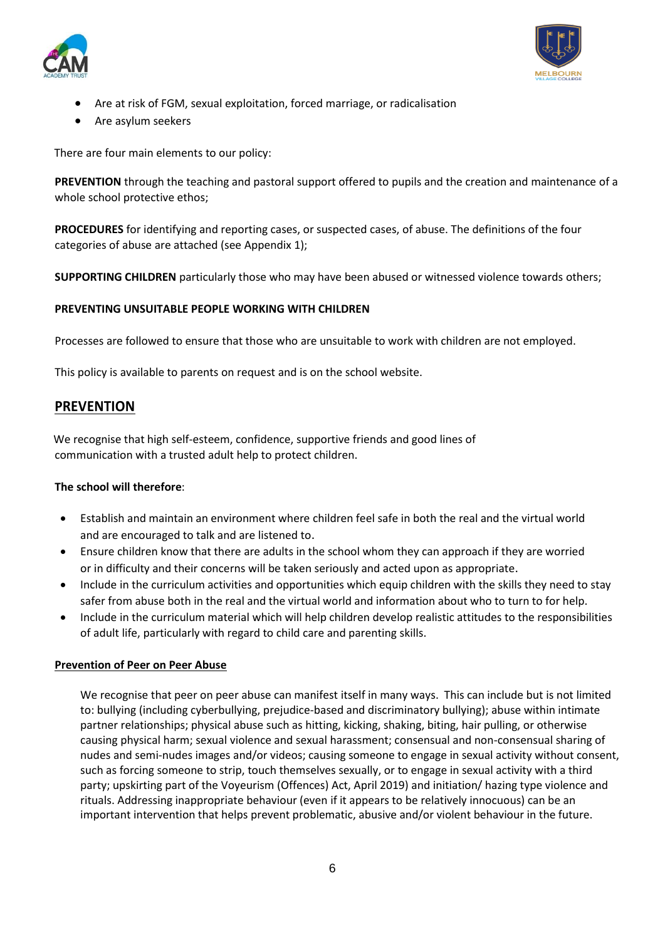



- Are at risk of FGM, sexual exploitation, forced marriage, or radicalisation
- Are asylum seekers

There are four main elements to our policy:

**PREVENTION** through the teaching and pastoral support offered to pupils and the creation and maintenance of a whole school protective ethos;

**PROCEDURES** for identifying and reporting cases, or suspected cases, of abuse. The definitions of the four categories of abuse are attached (see Appendix 1);

**SUPPORTING CHILDREN** particularly those who may have been abused or witnessed violence towards others;

#### **PREVENTING UNSUITABLE PEOPLE WORKING WITH CHILDREN**

Processes are followed to ensure that those who are unsuitable to work with children are not employed.

This policy is available to parents on request and is on the school website.

## <span id="page-5-0"></span>**PREVENTION**

 We recognise that high self-esteem, confidence, supportive friends and good lines of communication with a trusted adult help to protect children.

#### **The school will therefore**:

- Establish and maintain an environment where children feel safe in both the real and the virtual world and are encouraged to talk and are listened to.
- Ensure children know that there are adults in the school whom they can approach if they are worried or in difficulty and their concerns will be taken seriously and acted upon as appropriate.
- Include in the curriculum activities and opportunities which equip children with the skills they need to stay safer from abuse both in the real and the virtual world and information about who to turn to for help.
- Include in the curriculum material which will help children develop realistic attitudes to the responsibilities of adult life, particularly with regard to child care and parenting skills.

#### <span id="page-5-1"></span>**Prevention of Peer on Peer Abuse**

We recognise that peer on peer abuse can manifest itself in many ways. This can include but is not limited to: bullying (including cyberbullying, prejudice-based and discriminatory bullying); abuse within intimate partner relationships; physical abuse such as hitting, kicking, shaking, biting, hair pulling, or otherwise causing physical harm; sexual violence and sexual harassment; consensual and non-consensual sharing of nudes and semi-nudes images and/or videos; causing someone to engage in sexual activity without consent, such as forcing someone to strip, touch themselves sexually, or to engage in sexual activity with a third party; upskirting part of the Voyeurism (Offences) Act, April 2019) and initiation/ hazing type violence and rituals. Addressing inappropriate behaviour (even if it appears to be relatively innocuous) can be an important intervention that helps prevent problematic, abusive and/or violent behaviour in the future.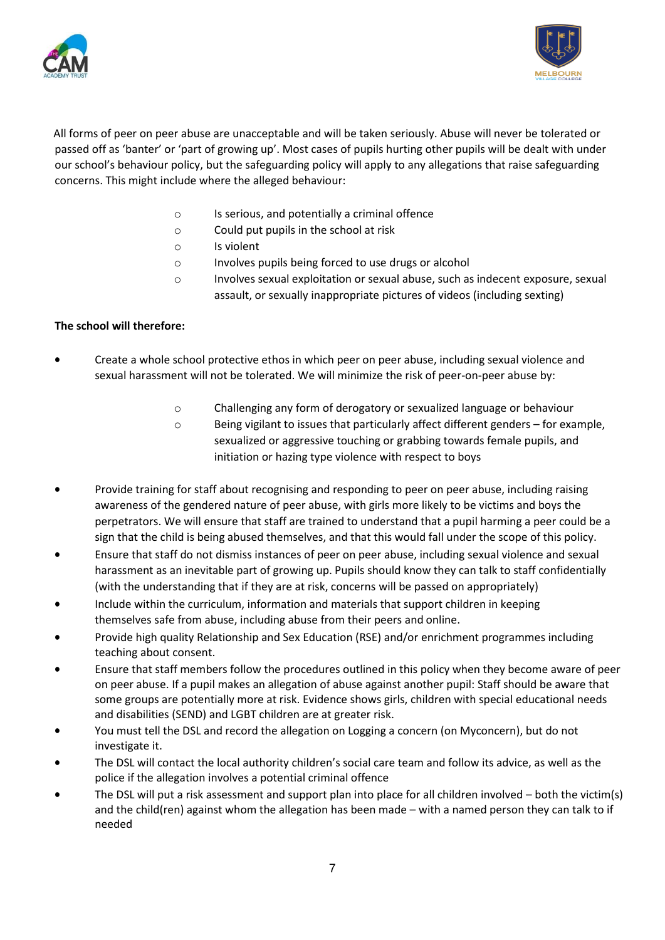



 All forms of peer on peer abuse are unacceptable and will be taken seriously. Abuse will never be tolerated or passed off as 'banter' or 'part of growing up'. Most cases of pupils hurting other pupils will be dealt with under our school's behaviour policy, but the safeguarding policy will apply to any allegations that raise safeguarding concerns. This might include where the alleged behaviour:

- o Is serious, and potentially a criminal offence
- o Could put pupils in the school at risk
- o Is violent
- o Involves pupils being forced to use drugs or alcohol
- o Involves sexual exploitation or sexual abuse, such as indecent exposure, sexual assault, or sexually inappropriate pictures of videos (including sexting)

## **The school will therefore:**

- Create a whole school protective ethos in which peer on peer abuse, including sexual violence and sexual harassment will not be tolerated. We will minimize the risk of peer-on-peer abuse by:
	- o Challenging any form of derogatory or sexualized language or behaviour
	- o Being vigilant to issues that particularly affect different genders for example, sexualized or aggressive touching or grabbing towards female pupils, and initiation or hazing type violence with respect to boys
- Provide training for staff about recognising and responding to peer on peer abuse, including raising awareness of the gendered nature of peer abuse, with girls more likely to be victims and boys the perpetrators. We will ensure that staff are trained to understand that a pupil harming a peer could be a sign that the child is being abused themselves, and that this would fall under the scope of this policy.
- Ensure that staff do not dismiss instances of peer on peer abuse, including sexual violence and sexual harassment as an inevitable part of growing up. Pupils should know they can talk to staff confidentially (with the understanding that if they are at risk, concerns will be passed on appropriately)
- Include within the curriculum, information and materials that support children in keeping themselves safe from abuse, including abuse from their peers and online.
- Provide high quality Relationship and Sex Education (RSE) and/or enrichment programmes including teaching about consent.
- Ensure that staff members follow the procedures outlined in this policy when they become aware of peer on peer abuse. If a pupil makes an allegation of abuse against another pupil: Staff should be aware that some groups are potentially more at risk. Evidence shows girls, children with special educational needs and disabilities (SEND) and LGBT children are at greater risk.
- You must tell the DSL and record the allegation on Logging a concern (on Myconcern), but do not investigate it.
- The DSL will contact the local authority children's social care team and follow its advice, as well as the police if the allegation involves a potential criminal offence
- The DSL will put a risk assessment and support plan into place for all children involved both the victim(s) and the child(ren) against whom the allegation has been made – with a named person they can talk to if needed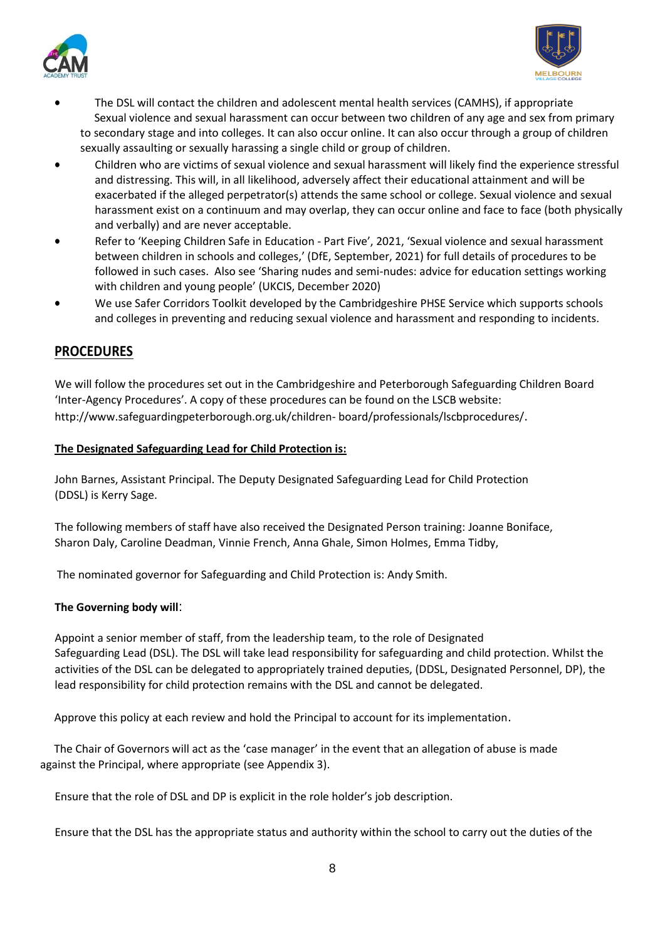



- The DSL will contact the children and adolescent mental health services (CAMHS), if appropriate Sexual violence and sexual harassment can occur between two children of any age and sex from primary to secondary stage and into colleges. It can also occur online. It can also occur through a group of children sexually assaulting or sexually harassing a single child or group of children.
- Children who are victims of sexual violence and sexual harassment will likely find the experience stressful and distressing. This will, in all likelihood, adversely affect their educational attainment and will be exacerbated if the alleged perpetrator(s) attends the same school or college. Sexual violence and sexual harassment exist on a continuum and may overlap, they can occur online and face to face (both physically and verbally) and are never acceptable.
- Refer to 'Keeping Children Safe in Education Part Five', 2021, 'Sexual violence and sexual harassment between children in schools and colleges,' (DfE, September, 2021) for full details of procedures to be followed in such cases. Also see 'Sharing nudes and semi-nudes: advice for education settings working with children and young people' (UKCIS, December 2020)
- We use Safer Corridors Toolkit developed by the Cambridgeshire PHSE Service which supports schools and colleges in preventing and reducing sexual violence and harassment and responding to incidents.

## <span id="page-7-0"></span>**PROCEDURES**

We will follow the procedures set out in the Cambridgeshire and Peterborough Safeguarding Children Board 'Inter-Agency Procedures'. A copy of these procedures can be found on the LSCB website: [http://www.safeguardingpeterborough.org.uk/children-](http://www.safeguardingpeterborough.org.uk/children-board/professionals/lscbprocedures/) [board/professionals/lscbprocedures/](http://www.safeguardingpeterborough.org.uk/children-board/professionals/lscbprocedures/).

## <span id="page-7-1"></span>**The Designated Safeguarding Lead for Child Protection is:**

John Barnes, Assistant Principal. The Deputy Designated Safeguarding Lead for Child Protection (DDSL) is Kerry Sage.

The following members of staff have also received the Designated Person training: Joanne Boniface, Sharon Daly, Caroline Deadman, Vinnie French, Anna Ghale, Simon Holmes, Emma Tidby,

The nominated governor for Safeguarding and Child Protection is: Andy Smith.

## **The Governing body will**:

Appoint a senior member of staff, from the leadership team, to the role of Designated Safeguarding Lead (DSL). The DSL will take lead responsibility for safeguarding and child protection. Whilst the activities of the DSL can be delegated to appropriately trained deputies, (DDSL, Designated Personnel, DP), the lead responsibility for child protection remains with the DSL and cannot be delegated.

Approve this policy at each review and hold the Principal to account for its implementation.

 The Chair of Governors will act as the 'case manager' in the event that an allegation of abuse is made against the Principal, where appropriate (see Appendix 3).

Ensure that the role of DSL and DP is explicit in the role holder's job description.

Ensure that the DSL has the appropriate status and authority within the school to carry out the duties of the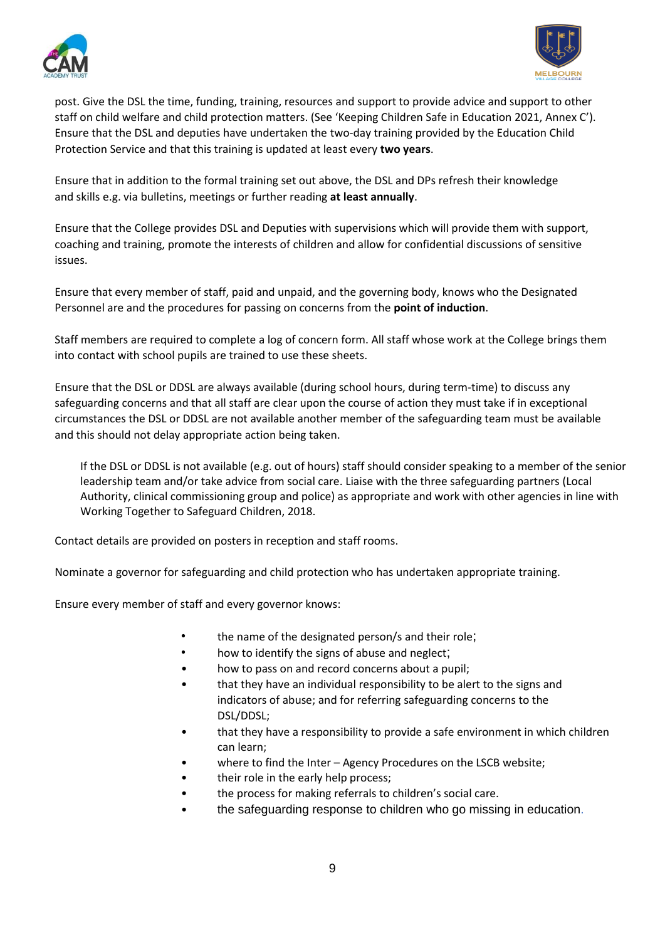



post. Give the DSL the time, funding, training, resources and support to provide advice and support to other staff on child welfare and child protection matters. (See 'Keeping Children Safe in Education 2021, Annex C'). Ensure that the DSL and deputies have undertaken the two-day training provided by the Education Child Protection Service and that this training is updated at least every **two years**.

Ensure that in addition to the formal training set out above, the DSL and DPs refresh their knowledge and skills e.g. via bulletins, meetings or further reading **at least annually**.

Ensure that the College provides DSL and Deputies with supervisions which will provide them with support, coaching and training, promote the interests of children and allow for confidential discussions of sensitive issues.

Ensure that every member of staff, paid and unpaid, and the governing body, knows who the Designated Personnel are and the procedures for passing on concerns from the **point of induction**.

Staff members are required to complete a log of concern form. All staff whose work at the College brings them into contact with school pupils are trained to use these sheets.

Ensure that the DSL or DDSL are always available (during school hours, during term-time) to discuss any safeguarding concerns and that all staff are clear upon the course of action they must take if in exceptional circumstances the DSL or DDSL are not available another member of the safeguarding team must be available and this should not delay appropriate action being taken.

If the DSL or DDSL is not available (e.g. out of hours) staff should consider speaking to a member of the senior leadership team and/or take advice from social care. Liaise with the three safeguarding partners (Local Authority, clinical commissioning group and police) as appropriate and work with other agencies in line with Working Together to Safeguard Children, 2018.

Contact details are provided on posters in reception and staff rooms.

Nominate a governor for safeguarding and child protection who has undertaken appropriate training.

Ensure every member of staff and every governor knows:

- the name of the designated person/s and their role;
- how to identify the signs of abuse and neglect;
- how to pass on and record concerns about a pupil;
- that they have an individual responsibility to be alert to the signs and indicators of abuse; and for referring safeguarding concerns to the DSL/DDSL;
- that they have a responsibility to provide a safe environment in which children can learn;
- where to find the Inter Agency Procedures on the LSCB website;
- their role in the early help process;
- the process for making referrals to children's social care.
- the safeguarding response to children who go missing in education.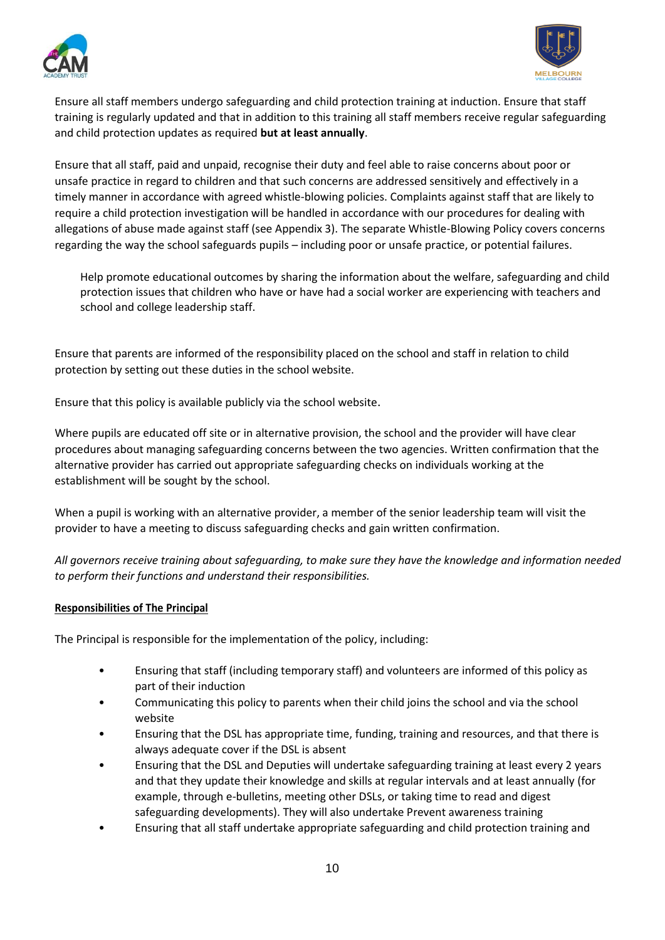



Ensure all staff members undergo safeguarding and child protection training at induction. Ensure that staff training is regularly updated and that in addition to this training all staff members receive regular safeguarding and child protection updates as required **but at least annually**.

Ensure that all staff, paid and unpaid, recognise their duty and feel able to raise concerns about poor or unsafe practice in regard to children and that such concerns are addressed sensitively and effectively in a timely manner in accordance with agreed whistle-blowing policies. Complaints against staff that are likely to require a child protection investigation will be handled in accordance with our procedures for dealing with allegations of abuse made against staff (see Appendix 3). The separate Whistle-Blowing Policy covers concerns regarding the way the school safeguards pupils – including poor or unsafe practice, or potential failures.

Help promote educational outcomes by sharing the information about the welfare, safeguarding and child protection issues that children who have or have had a social worker are experiencing with teachers and school and college leadership staff.

Ensure that parents are informed of the responsibility placed on the school and staff in relation to child protection by setting out these duties in the school website.

Ensure that this policy is available publicly via the school website.

Where pupils are educated off site or in alternative provision, the school and the provider will have clear procedures about managing safeguarding concerns between the two agencies. Written confirmation that the alternative provider has carried out appropriate safeguarding checks on individuals working at the establishment will be sought by the school.

When a pupil is working with an alternative provider, a member of the senior leadership team will visit the provider to have a meeting to discuss safeguarding checks and gain written confirmation.

*All governors receive training about safeguarding, to make sure they have the knowledge and information needed to perform their functions and understand their responsibilities.*

## <span id="page-9-0"></span>**Responsibilities of The Principal**

The Principal is responsible for the implementation of the policy, including:

- Ensuring that staff (including temporary staff) and volunteers are informed of this policy as part of their induction
- Communicating this policy to parents when their child joins the school and via the school website
- Ensuring that the DSL has appropriate time, funding, training and resources, and that there is always adequate cover if the DSL is absent
- Ensuring that the DSL and Deputies will undertake safeguarding training at least every 2 years and that they update their knowledge and skills at regular intervals and at least annually (for example, through e-bulletins, meeting other DSLs, or taking time to read and digest safeguarding developments). They will also undertake Prevent awareness training
- Ensuring that all staff undertake appropriate safeguarding and child protection training and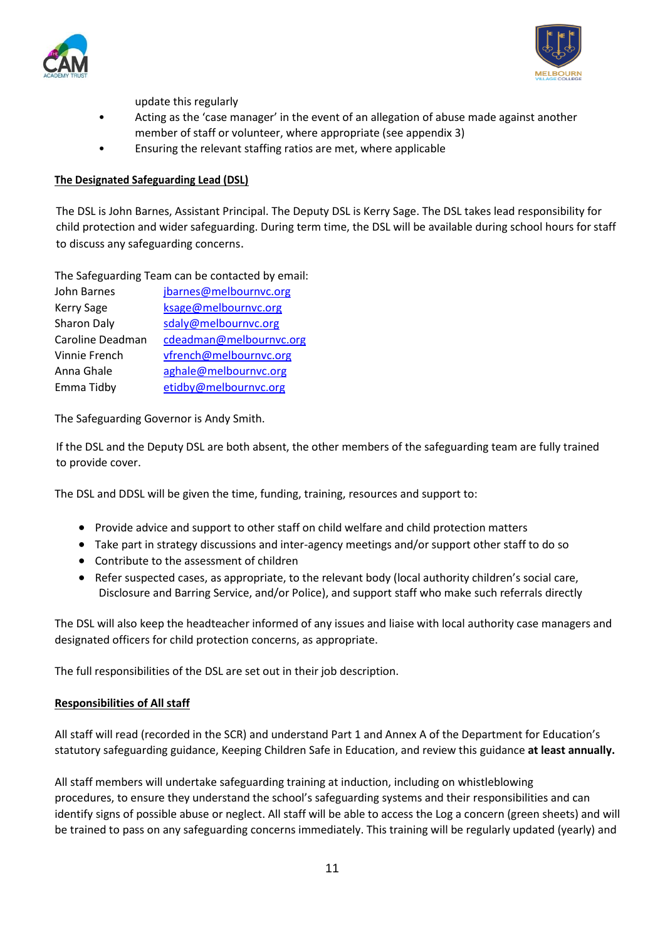



update this regularly

- Acting as the 'case manager' in the event of an allegation of abuse made against another member of staff or volunteer, where appropriate (see appendix 3)
- Ensuring the relevant staffing ratios are met, where applicable

#### <span id="page-10-0"></span>**The Designated Safeguarding Lead (DSL)**

The DSL is John Barnes, Assistant Principal. The Deputy DSL is Kerry Sage. The DSL takes lead responsibility for child protection and wider safeguarding. During term time, the DSL will be available during school hours for staff to discuss any safeguarding concerns.

The Safeguarding Team can be contacted by email:

| jbarnes@melbournvc.org  |
|-------------------------|
| ksage@melbournvc.org    |
| sdaly@melbournvc.org    |
| cdeadman@melbournvc.org |
| vfrench@melbournvc.org  |
| aghale@melbournvc.org   |
| etidby@melbournvc.org   |
|                         |

The Safeguarding Governor is Andy Smith.

If the DSL and the Deputy DSL are both absent, the other members of the safeguarding team are fully trained to provide cover.

The DSL and DDSL will be given the time, funding, training, resources and support to:

- Provide advice and support to other staff on child welfare and child protection matters
- Take part in strategy discussions and inter-agency meetings and/or support other staff to do so
- Contribute to the assessment of children
- Refer suspected cases, as appropriate, to the relevant body (local authority children's social care, Disclosure and Barring Service, and/or Police), and support staff who make such referrals directly

The DSL will also keep the headteacher informed of any issues and liaise with local authority case managers and designated officers for child protection concerns, as appropriate.

The full responsibilities of the DSL are set out in their job description.

## <span id="page-10-1"></span>**Responsibilities of All staff**

All staff will read (recorded in the SCR) and understand Part 1 and Annex A of the Department for Education's statutory safeguarding guidance, Keeping Children Safe in Education, and review this guidance **at least annually.**

All staff members will undertake safeguarding training at induction, including on whistleblowing procedures, to ensure they understand the school's safeguarding systems and their responsibilities and can identify signs of possible abuse or neglect. All staff will be able to access the Log a concern (green sheets) and will be trained to pass on any safeguarding concerns immediately. This training will be regularly updated (yearly) and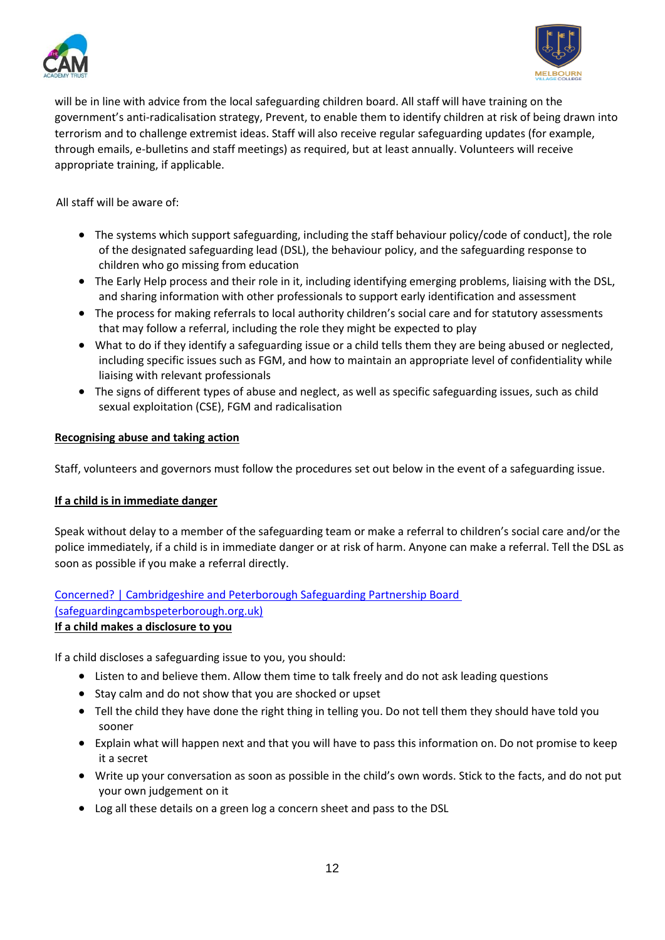



will be in line with advice from the local safeguarding children board. All staff will have training on the government's anti-radicalisation strategy, Prevent, to enable them to identify children at risk of being drawn into terrorism and to challenge extremist ideas. Staff will also receive regular safeguarding updates (for example, through emails, e-bulletins and staff meetings) as required, but at least annually. Volunteers will receive appropriate training, if applicable.

All staff will be aware of:

- The systems which support safeguarding, including the staff behaviour policy/code of conduct], the role of the designated safeguarding lead (DSL), the behaviour policy, and the safeguarding response to children who go missing from education
- The Early Help process and their role in it, including identifying emerging problems, liaising with the DSL, and sharing information with other professionals to support early identification and assessment
- The process for making referrals to local authority children's social care and for statutory assessments that may follow a referral, including the role they might be expected to play
- What to do if they identify a safeguarding issue or a child tells them they are being abused or neglected, including specific issues such as FGM, and how to maintain an appropriate level of confidentiality while liaising with relevant professionals
- The signs of different types of abuse and neglect, as well as specific safeguarding issues, such as child sexual exploitation (CSE), FGM and radicalisation

#### <span id="page-11-0"></span>**Recognising abuse and taking action**

Staff, volunteers and governors must follow the procedures set out below in the event of a safeguarding issue.

#### <span id="page-11-1"></span>**If a child is in immediate danger**

Speak without delay to a member of the safeguarding team or make a referral to children's social care and/or the police immediately, if a child is in immediate danger or at risk of harm. Anyone can make a referral. Tell the DSL as soon as possible if you make a referral directly.

[Concerned? | Cambridgeshire and Peterborough Safeguarding Partnership Board](https://safeguardingcambspeterborough.org.uk/concerned/)  [\(safeguardingcambspeterborough.org.uk\)](https://safeguardingcambspeterborough.org.uk/concerned/)

#### <span id="page-11-2"></span>**If a child makes a disclosure to you**

If a child discloses a safeguarding issue to you, you should:

- Listen to and believe them. Allow them time to talk freely and do not ask leading questions
- Stay calm and do not show that you are shocked or upset
- Tell the child they have done the right thing in telling you. Do not tell them they should have told you sooner
- Explain what will happen next and that you will have to pass this information on. Do not promise to keep it a secret
- Write up your conversation as soon as possible in the child's own words. Stick to the facts, and do not put your own judgement on it
- Log all these details on a green log a concern sheet and pass to the DSL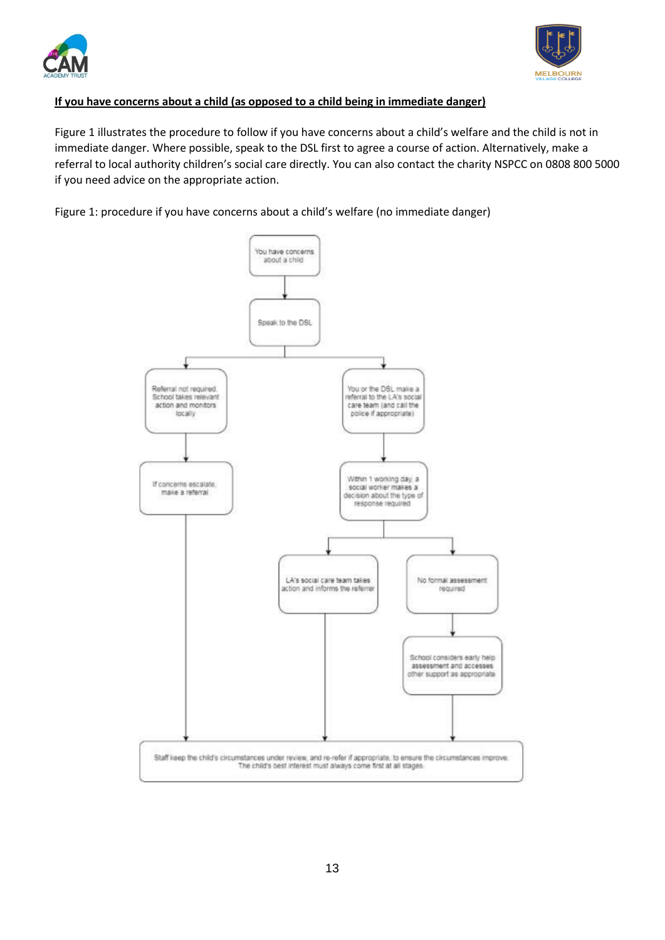



## <span id="page-12-0"></span>**If you have concerns about a child (as opposed to a child being in immediate danger)**

Figure 1 illustrates the procedure to follow if you have concerns about a child's welfare and the child is not in immediate danger. Where possible, speak to the DSL first to agree a course of action. Alternatively, make a referral to local authority children's social care directly. You can also contact the charity NSPCC on 0808 800 5000 if you need advice on the appropriate action.

Figure 1: procedure if you have concerns about a child's welfare (no immediate danger)

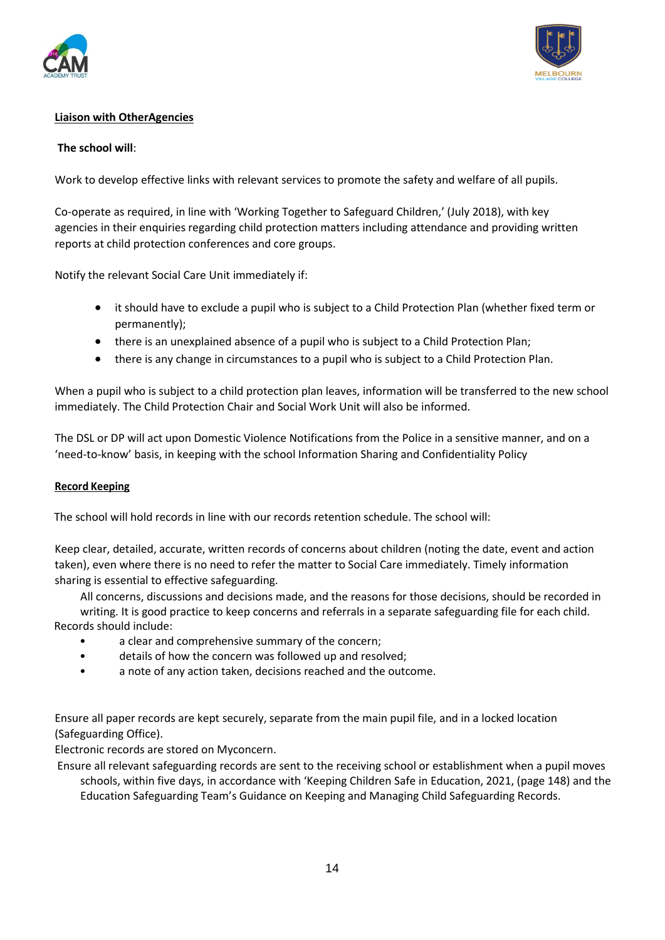



## <span id="page-13-0"></span>**Liaison with OtherAgencies**

#### **The school will**:

Work to develop effective links with relevant services to promote the safety and welfare of all pupils.

Co-operate as required, in line with 'Working Together to Safeguard Children,' (July 2018), with key agencies in their enquiries regarding child protection matters including attendance and providing written reports at child protection conferences and core groups.

Notify the relevant Social Care Unit immediately if:

- it should have to exclude a pupil who is subject to a Child Protection Plan (whether fixed term or permanently);
- there is an unexplained absence of a pupil who is subject to a Child Protection Plan;
- there is any change in circumstances to a pupil who is subject to a Child Protection Plan.

When a pupil who is subject to a child protection plan leaves, information will be transferred to the new school immediately. The Child Protection Chair and Social Work Unit will also be informed.

The DSL or DP will act upon Domestic Violence Notifications from the Police in a sensitive manner, and on a 'need-to-know' basis, in keeping with the school Information Sharing and Confidentiality Policy

#### <span id="page-13-1"></span>**Record Keeping**

The school will hold records in line with our records retention schedule. The school will:

Keep clear, detailed, accurate, written records of concerns about children (noting the date, event and action taken), even where there is no need to refer the matter to Social Care immediately. Timely information sharing is essential to effective safeguarding.

All concerns, discussions and decisions made, and the reasons for those decisions, should be recorded in

writing. It is good practice to keep concerns and referrals in a separate safeguarding file for each child. Records should include:

- a clear and comprehensive summary of the concern;
- details of how the concern was followed up and resolved;
- a note of any action taken, decisions reached and the outcome.

Ensure all paper records are kept securely, separate from the main pupil file, and in a locked location (Safeguarding Office).

Electronic records are stored on Myconcern.

 Ensure all relevant safeguarding records are sent to the receiving school or establishment when a pupil moves schools, within five days, in accordance with 'Keeping Children Safe in Education, 2021, (page 148) and the Education Safeguarding Team's Guidance on Keeping and Managing Child Safeguarding Records.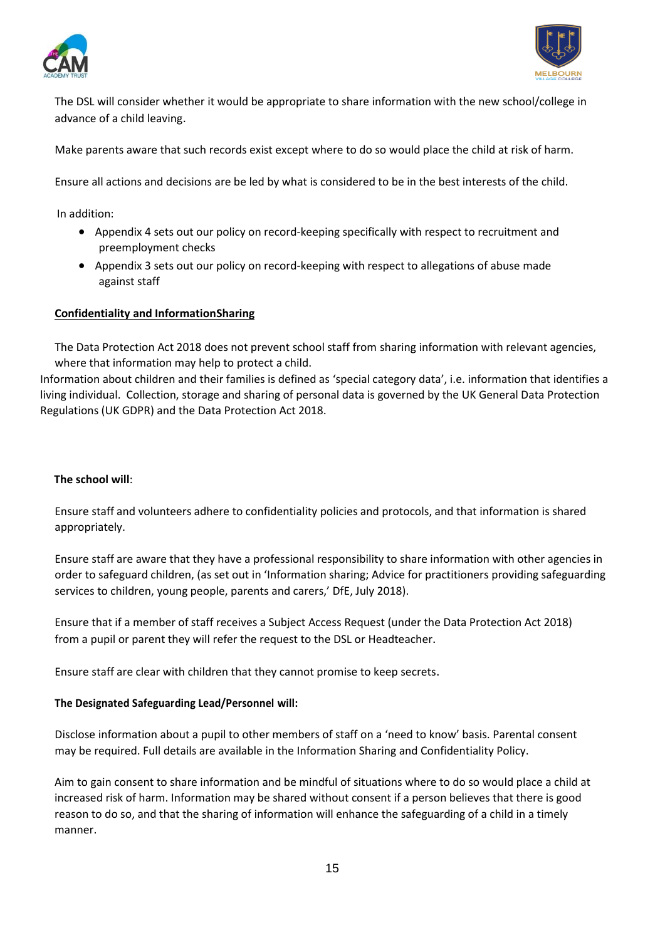



The DSL will consider whether it would be appropriate to share information with the new school/college in advance of a child leaving.

Make parents aware that such records exist except where to do so would place the child at risk of harm.

Ensure all actions and decisions are be led by what is considered to be in the best interests of the child.

In addition:

- Appendix 4 sets out our policy on record-keeping specifically with respect to recruitment and preemployment checks
- Appendix 3 sets out our policy on record-keeping with respect to allegations of abuse made against staff

#### <span id="page-14-0"></span>**Confidentiality and InformationSharing**

The Data Protection Act 2018 does not prevent school staff from sharing information with relevant agencies, where that information may help to protect a child.

Information about children and their families is defined as 'special category data', i.e. information that identifies a living individual. Collection, storage and sharing of personal data is governed by the UK General Data Protection Regulations (UK GDPR) and the Data Protection Act 2018.

## **The school will**:

Ensure staff and volunteers adhere to confidentiality policies and protocols, and that information is shared appropriately.

Ensure staff are aware that they have a professional responsibility to share information with other agencies in order to safeguard children, (as set out in 'Information sharing; Advice for practitioners providing safeguarding services to children, young people, parents and carers,' DfE, July 2018).

Ensure that if a member of staff receives a Subject Access Request (under the Data Protection Act 2018) from a pupil or parent they will refer the request to the DSL or Headteacher.

Ensure staff are clear with children that they cannot promise to keep secrets.

#### **The Designated Safeguarding Lead/Personnel will:**

Disclose information about a pupil to other members of staff on a 'need to know' basis. Parental consent may be required. Full details are available in the Information Sharing and Confidentiality Policy.

Aim to gain consent to share information and be mindful of situations where to do so would place a child at increased risk of harm. Information may be shared without consent if a person believes that there is good reason to do so, and that the sharing of information will enhance the safeguarding of a child in a timely manner.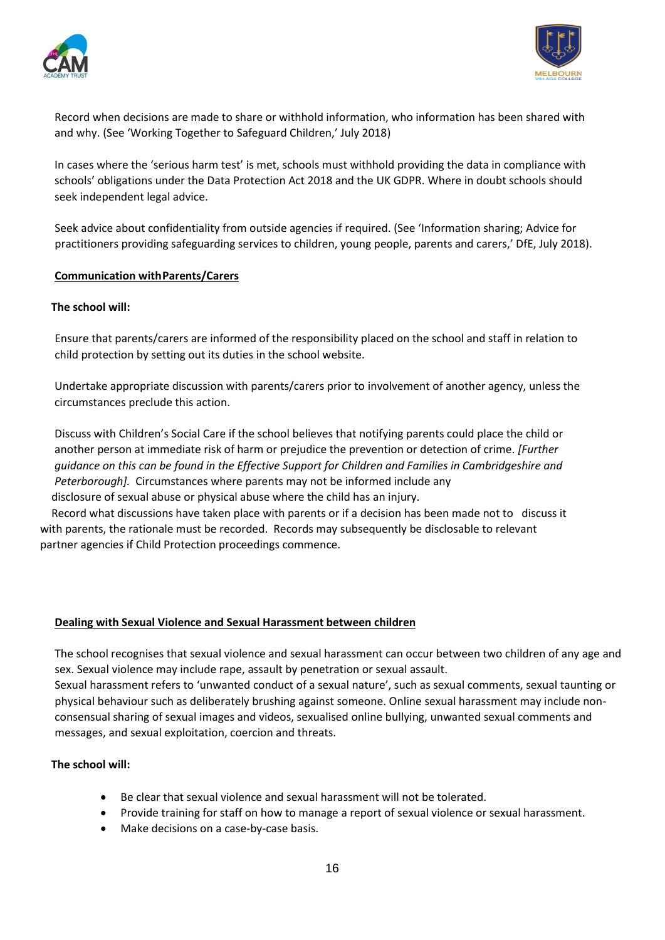



Record when decisions are made to share or withhold information, who information has been shared with and why. (See 'Working Together to Safeguard Children,' July 2018)

In cases where the 'serious harm test' is met, schools must withhold providing the data in compliance with schools' obligations under the Data Protection Act 2018 and the UK GDPR. Where in doubt schools should seek independent legal advice.

Seek advice about confidentiality from outside agencies if required. (See 'Information sharing; Advice for practitioners providing safeguarding services to children, young people, parents and carers,' DfE, July 2018).

#### <span id="page-15-0"></span>**Communication withParents/Carers**

#### **The school will:**

Ensure that parents/carers are informed of the responsibility placed on the school and staff in relation to child protection by setting out its duties in the school website.

Undertake appropriate discussion with parents/carers prior to involvement of another agency, unless the circumstances preclude this action.

Discuss with Children's Social Care if the school believes that notifying parents could place the child or another person at immediate risk of harm or prejudice the prevention or detection of crime. *[Further guidance on this can be found in the Effective Support for Children and Families in Cambridgeshire and Peterborough].* Circumstances where parents may not be informed include any disclosure of sexual abuse or physical abuse where the child has an injury.

 Record what discussions have taken place with parents or if a decision has been made not to discuss it with parents, the rationale must be recorded. Records may subsequently be disclosable to relevant partner agencies if Child Protection proceedings commence.

#### <span id="page-15-1"></span>**Dealing with Sexual Violence and Sexual Harassment between children**

The school recognises that sexual violence and sexual harassment can occur between two children of any age and sex. Sexual violence may include rape, assault by penetration or sexual assault.

Sexual harassment refers to 'unwanted conduct of a sexual nature', such as sexual comments, sexual taunting or physical behaviour such as deliberately brushing against someone. Online sexual harassment may include nonconsensual sharing of sexual images and videos, sexualised online bullying, unwanted sexual comments and messages, and sexual exploitation, coercion and threats.

## **The school will:**

- Be clear that sexual violence and sexual harassment will not be tolerated.
- Provide training for staff on how to manage a report of sexual violence or sexual harassment.
- Make decisions on a case-by-case basis.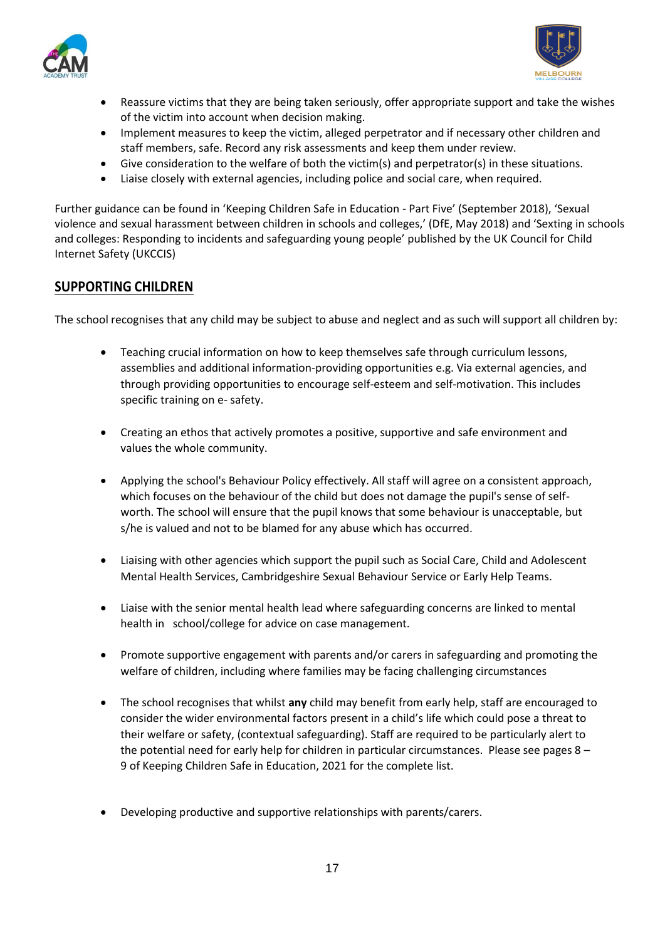



- Reassure victims that they are being taken seriously, offer appropriate support and take the wishes of the victim into account when decision making.
- Implement measures to keep the victim, alleged perpetrator and if necessary other children and staff members, safe. Record any risk assessments and keep them under review.
- Give consideration to the welfare of both the victim(s) and perpetrator(s) in these situations.
- Liaise closely with external agencies, including police and social care, when required.

Further guidance can be found in 'Keeping Children Safe in Education - Part Five' (September 2018), 'Sexual violence and sexual harassment between children in schools and colleges,' (DfE, May 2018) and 'Sexting in schools and colleges: Responding to incidents and safeguarding young people' published by the UK Council for Child Internet Safety (UKCCIS)

## <span id="page-16-0"></span>**SUPPORTING CHILDREN**

The school recognises that any child may be subject to abuse and neglect and as such will support all children by:

- Teaching crucial information on how to keep themselves safe through curriculum lessons, assemblies and additional information-providing opportunities e.g. Via external agencies, and through providing opportunities to encourage self-esteem and self-motivation. This includes specific training on e- safety.
- Creating an ethos that actively promotes a positive, supportive and safe environment and values the whole community.
- Applying the school's Behaviour Policy effectively. All staff will agree on a consistent approach, which focuses on the behaviour of the child but does not damage the pupil's sense of selfworth. The school will ensure that the pupil knows that some behaviour is unacceptable, but s/he is valued and not to be blamed for any abuse which has occurred.
- Liaising with other agencies which support the pupil such as Social Care, Child and Adolescent Mental Health Services, Cambridgeshire Sexual Behaviour Service or Early Help Teams.
- Liaise with the senior mental health lead where safeguarding concerns are linked to mental health in school/college for advice on case management.
- Promote supportive engagement with parents and/or carers in safeguarding and promoting the welfare of children, including where families may be facing challenging circumstances
- The school recognises that whilst **any** child may benefit from early help, staff are encouraged to consider the wider environmental factors present in a child's life which could pose a threat to their welfare or safety, (contextual safeguarding). Staff are required to be particularly alert to the potential need for early help for children in particular circumstances. Please see pages 8 – 9 of Keeping Children Safe in Education, 2021 for the complete list.
- Developing productive and supportive relationships with parents/carers.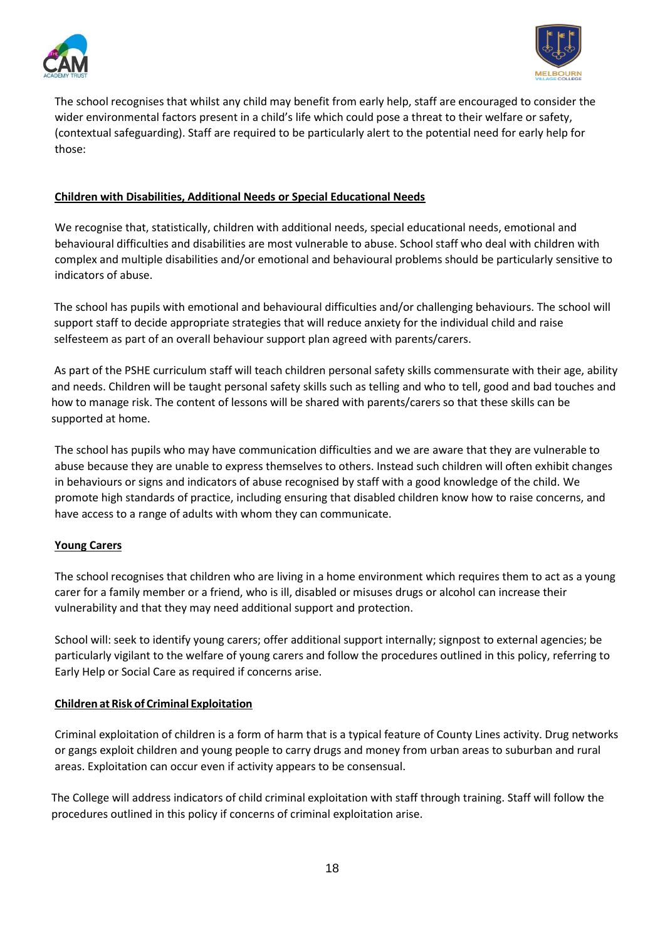



The school recognises that whilst any child may benefit from early help, staff are encouraged to consider the wider environmental factors present in a child's life which could pose a threat to their welfare or safety, (contextual safeguarding). Staff are required to be particularly alert to the potential need for early help for those:

## <span id="page-17-0"></span>**Children with Disabilities, Additional Needs or Special Educational Needs**

We recognise that, statistically, children with additional needs, special educational needs, emotional and behavioural difficulties and disabilities are most vulnerable to abuse. School staff who deal with children with complex and multiple disabilities and/or emotional and behavioural problems should be particularly sensitive to indicators of abuse.

 The school has pupils with emotional and behavioural difficulties and/or challenging behaviours. The school will support staff to decide appropriate strategies that will reduce anxiety for the individual child and raise selfesteem as part of an overall behaviour support plan agreed with parents/carers.

 As part of the PSHE curriculum staff will teach children personal safety skills commensurate with their age, ability and needs. Children will be taught personal safety skills such as telling and who to tell, good and bad touches and how to manage risk. The content of lessons will be shared with parents/carers so that these skills can be supported at home.

The school has pupils who may have communication difficulties and we are aware that they are vulnerable to abuse because they are unable to express themselves to others. Instead such children will often exhibit changes in behaviours or signs and indicators of abuse recognised by staff with a good knowledge of the child. We promote high standards of practice, including ensuring that disabled children know how to raise concerns, and have access to a range of adults with whom they can communicate.

## <span id="page-17-1"></span>**Young Carers**

The school recognises that children who are living in a home environment which requires them to act as a young carer for a family member or a friend, who is ill, disabled or misuses drugs or alcohol can increase their vulnerability and that they may need additional support and protection.

School will: seek to identify young carers; offer additional support internally; signpost to external agencies; be particularly vigilant to the welfare of young carers and follow the procedures outlined in this policy, referring to Early Help or Social Care as required if concerns arise.

## <span id="page-17-2"></span>**Children at Risk of Criminal Exploitation**

Criminal exploitation of children is a form of harm that is a typical feature of County Lines activity. Drug networks or gangs exploit children and young people to carry drugs and money from urban areas to suburban and rural areas. Exploitation can occur even if activity appears to be consensual.

 The College will address indicators of child criminal exploitation with staff through training. Staff will follow the procedures outlined in this policy if concerns of criminal exploitation arise.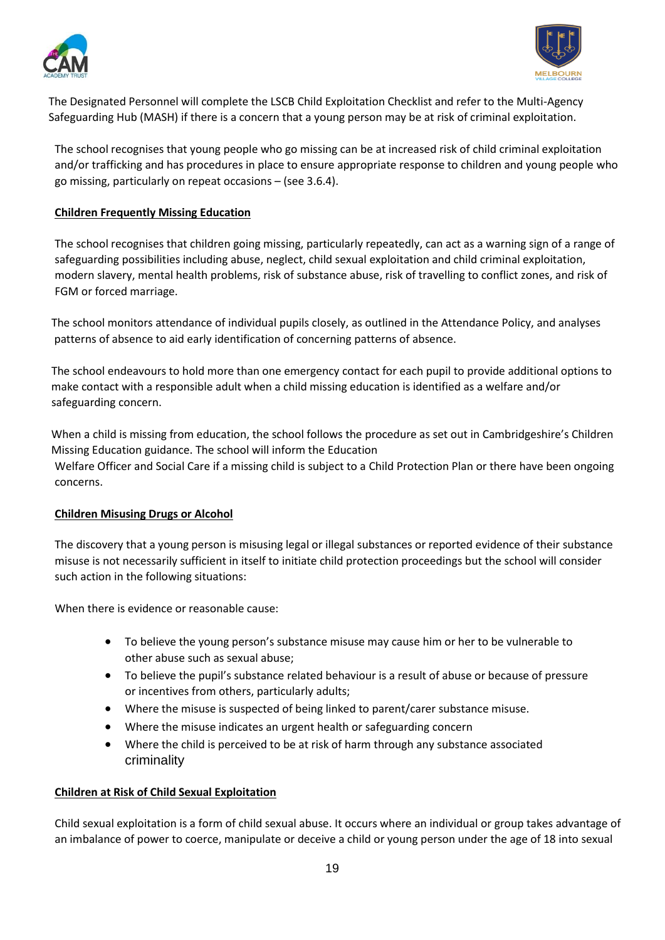



 The Designated Personnel will complete the LSCB Child Exploitation Checklist and refer to the Multi-Agency Safeguarding Hub (MASH) if there is a concern that a young person may be at risk of criminal exploitation.

The school recognises that young people who go missing can be at increased risk of child criminal exploitation and/or trafficking and has procedures in place to ensure appropriate response to children and young people who go missing, particularly on repeat occasions – (see 3.6.4).

#### <span id="page-18-0"></span>**Children Frequently Missing Education**

The school recognises that children going missing, particularly repeatedly, can act as a warning sign of a range of safeguarding possibilities including abuse, neglect, child sexual exploitation and child criminal exploitation, modern slavery, mental health problems, risk of substance abuse, risk of travelling to conflict zones, and risk of FGM or forced marriage.

 The school monitors attendance of individual pupils closely, as outlined in the Attendance Policy, and analyses patterns of absence to aid early identification of concerning patterns of absence.

 The school endeavours to hold more than one emergency contact for each pupil to provide additional options to make contact with a responsible adult when a child missing education is identified as a welfare and/or safeguarding concern.

 When a child is missing from education, the school follows the procedure as set out in Cambridgeshire's Children Missing Education guidance. The school will inform the Education Welfare Officer and Social Care if a missing child is subject to a Child Protection Plan or there have been ongoing concerns.

## <span id="page-18-1"></span>**Children Misusing Drugs or Alcohol**

The discovery that a young person is misusing legal or illegal substances or reported evidence of their substance misuse is not necessarily sufficient in itself to initiate child protection proceedings but the school will consider such action in the following situations:

When there is evidence or reasonable cause:

- To believe the young person's substance misuse may cause him or her to be vulnerable to other abuse such as sexual abuse;
- To believe the pupil's substance related behaviour is a result of abuse or because of pressure or incentives from others, particularly adults;
- Where the misuse is suspected of being linked to parent/carer substance misuse.
- Where the misuse indicates an urgent health or safeguarding concern
- Where the child is perceived to be at risk of harm through any substance associated criminality

#### <span id="page-18-2"></span>**Children at Risk of Child Sexual Exploitation**

Child sexual exploitation is a form of child sexual abuse. It occurs where an individual or group takes advantage of an imbalance of power to coerce, manipulate or deceive a child or young person under the age of 18 into sexual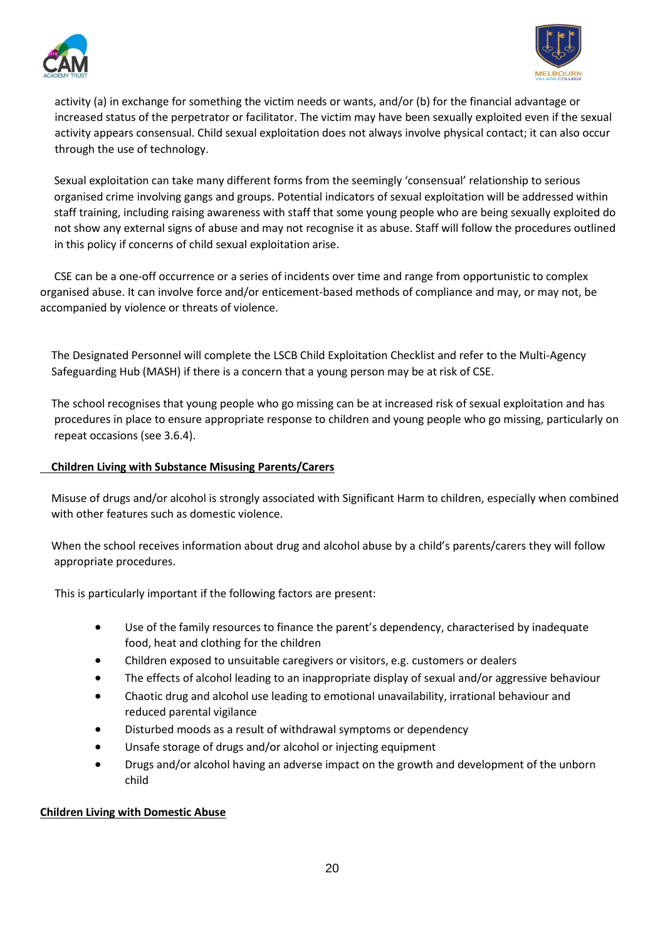



activity (a) in exchange for something the victim needs or wants, and/or (b) for the financial advantage or increased status of the perpetrator or facilitator. The victim may have been sexually exploited even if the sexual activity appears consensual. Child sexual exploitation does not always involve physical contact; it can also occur through the use of technology.

 Sexual exploitation can take many different forms from the seemingly 'consensual' relationship to serious organised crime involving gangs and groups. Potential indicators of sexual exploitation will be addressed within staff training, including raising awareness with staff that some young people who are being sexually exploited do not show any external signs of abuse and may not recognise it as abuse. Staff will follow the procedures outlined in this policy if concerns of child sexual exploitation arise.

 CSE can be a one-off occurrence or a series of incidents over time and range from opportunistic to complex organised abuse. It can involve force and/or enticement-based methods of compliance and may, or may not, be accompanied by violence or threats of violence.

 The Designated Personnel will complete the LSCB Child Exploitation Checklist and refer to the Multi-Agency Safeguarding Hub (MASH) if there is a concern that a young person may be at risk of CSE.

 The school recognises that young people who go missing can be at increased risk of sexual exploitation and has procedures in place to ensure appropriate response to children and young people who go missing, particularly on repeat occasions (see 3.6.4).

## <span id="page-19-0"></span> **Children Living with Substance Misusing Parents/Carers**

 Misuse of drugs and/or alcohol is strongly associated with Significant Harm to children, especially when combined with other features such as domestic violence.

 When the school receives information about drug and alcohol abuse by a child's parents/carers they will follow appropriate procedures.

This is particularly important if the following factors are present:

- Use of the family resources to finance the parent's dependency, characterised by inadequate food, heat and clothing for the children
- Children exposed to unsuitable caregivers or visitors, e.g. customers or dealers
- The effects of alcohol leading to an inappropriate display of sexual and/or aggressive behaviour
- Chaotic drug and alcohol use leading to emotional unavailability, irrational behaviour and reduced parental vigilance
- Disturbed moods as a result of withdrawal symptoms or dependency
- Unsafe storage of drugs and/or alcohol or injecting equipment
- Drugs and/or alcohol having an adverse impact on the growth and development of the unborn child

## <span id="page-19-1"></span>**Children Living with Domestic Abuse**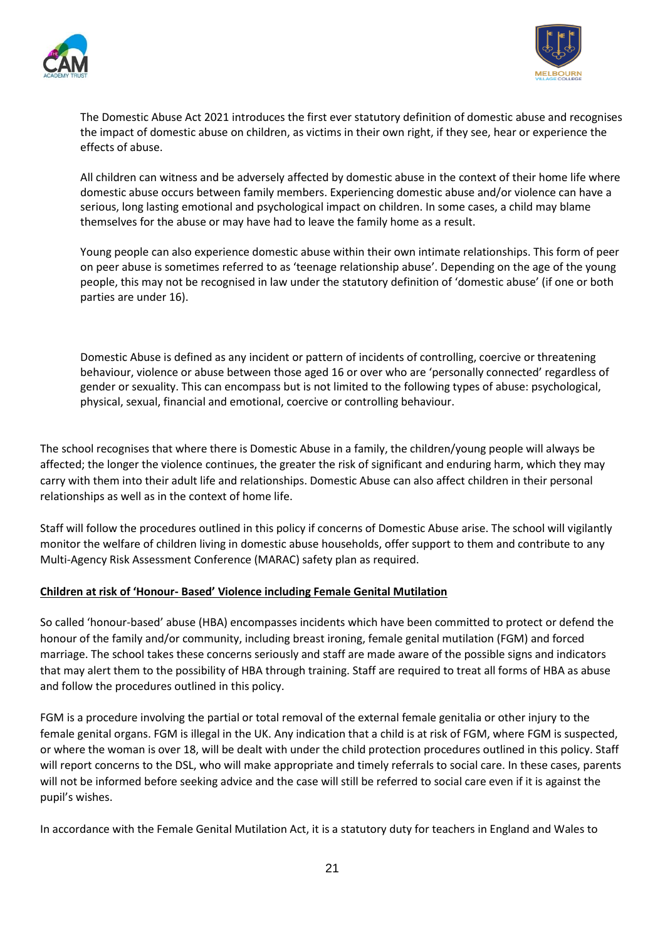



The Domestic Abuse Act 2021 introduces the first ever statutory definition of domestic abuse and recognises the impact of domestic abuse on children, as victims in their own right, if they see, hear or experience the effects of abuse.

All children can witness and be adversely affected by domestic abuse in the context of their home life where domestic abuse occurs between family members. Experiencing domestic abuse and/or violence can have a serious, long lasting emotional and psychological impact on children. In some cases, a child may blame themselves for the abuse or may have had to leave the family home as a result.

Young people can also experience domestic abuse within their own intimate relationships. This form of peer on peer abuse is sometimes referred to as 'teenage relationship abuse'. Depending on the age of the young people, this may not be recognised in law under the statutory definition of 'domestic abuse' (if one or both parties are under 16).

Domestic Abuse is defined as any incident or pattern of incidents of controlling, coercive or threatening behaviour, violence or abuse between those aged 16 or over who are 'personally connected' regardless of gender or sexuality. This can encompass but is not limited to the following types of abuse: psychological, physical, sexual, financial and emotional, coercive or controlling behaviour.

The school recognises that where there is Domestic Abuse in a family, the children/young people will always be affected; the longer the violence continues, the greater the risk of significant and enduring harm, which they may carry with them into their adult life and relationships. Domestic Abuse can also affect children in their personal relationships as well as in the context of home life.

Staff will follow the procedures outlined in this policy if concerns of Domestic Abuse arise. The school will vigilantly monitor the welfare of children living in domestic abuse households, offer support to them and contribute to any Multi-Agency Risk Assessment Conference (MARAC) safety plan as required.

## <span id="page-20-0"></span>**Children at risk of 'Honour- Based' Violence including Female Genital Mutilation**

So called 'honour-based' abuse (HBA) encompasses incidents which have been committed to protect or defend the honour of the family and/or community, including breast ironing, female genital mutilation (FGM) and forced marriage. The school takes these concerns seriously and staff are made aware of the possible signs and indicators that may alert them to the possibility of HBA through training. Staff are required to treat all forms of HBA as abuse and follow the procedures outlined in this policy.

FGM is a procedure involving the partial or total removal of the external female genitalia or other injury to the female genital organs. FGM is illegal in the UK. Any indication that a child is at risk of FGM, where FGM is suspected, or where the woman is over 18, will be dealt with under the child protection procedures outlined in this policy. Staff will report concerns to the DSL, who will make appropriate and timely referrals to social care. In these cases, parents will not be informed before seeking advice and the case will still be referred to social care even if it is against the pupil's wishes.

In accordance with the Female Genital Mutilation Act, it is a statutory duty for teachers in England and Wales to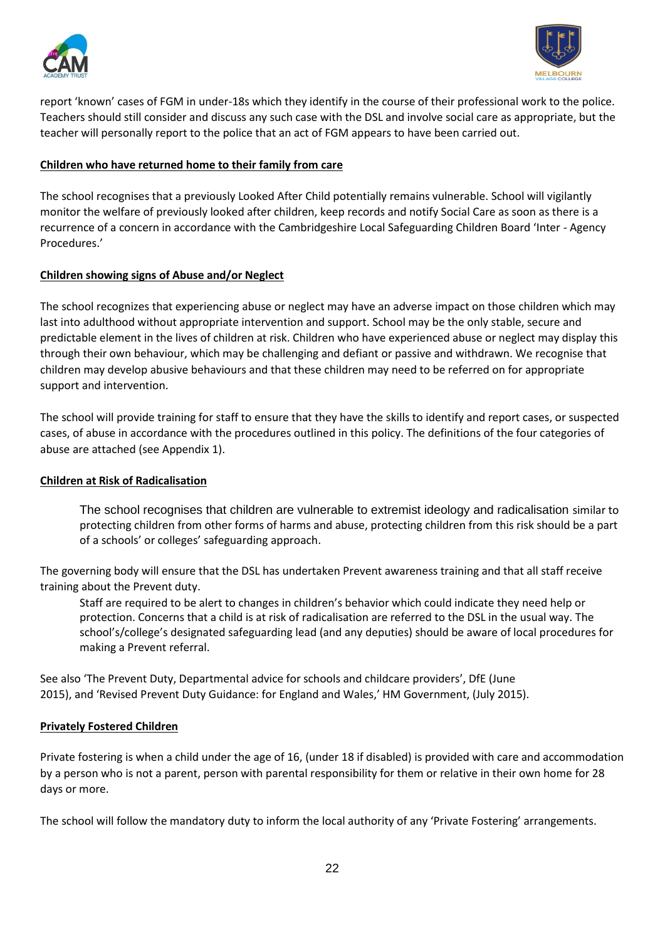



report 'known' cases of FGM in under-18s which they identify in the course of their professional work to the police. Teachers should still consider and discuss any such case with the DSL and involve social care as appropriate, but the teacher will personally report to the police that an act of FGM appears to have been carried out.

#### <span id="page-21-0"></span>**Children who have returned home to their family from care**

The school recognises that a previously Looked After Child potentially remains vulnerable. School will vigilantly monitor the welfare of previously looked after children, keep records and notify Social Care as soon as there is a recurrence of a concern in accordance with the Cambridgeshire Local Safeguarding Children Board 'Inter - Agency Procedures.'

#### <span id="page-21-1"></span>**Children showing signs of Abuse and/or Neglect**

The school recognizes that experiencing abuse or neglect may have an adverse impact on those children which may last into adulthood without appropriate intervention and support. School may be the only stable, secure and predictable element in the lives of children at risk. Children who have experienced abuse or neglect may display this through their own behaviour, which may be challenging and defiant or passive and withdrawn. We recognise that children may develop abusive behaviours and that these children may need to be referred on for appropriate support and intervention.

The school will provide training for staff to ensure that they have the skills to identify and report cases, or suspected cases, of abuse in accordance with the procedures outlined in this policy. The definitions of the four categories of abuse are attached (see Appendix 1).

#### <span id="page-21-2"></span>**Children at Risk of Radicalisation**

The school recognises that children are vulnerable to extremist ideology and radicalisation similar to protecting children from other forms of harms and abuse, protecting children from this risk should be a part of a schools' or colleges' safeguarding approach.

The governing body will ensure that the DSL has undertaken Prevent awareness training and that all staff receive training about the Prevent duty.

Staff are required to be alert to changes in children's behavior which could indicate they need help or protection. Concerns that a child is at risk of radicalisation are referred to the DSL in the usual way. The school's/college's designated safeguarding lead (and any deputies) should be aware of local procedures for making a Prevent referral.

See also 'The Prevent Duty, Departmental advice for schools and childcare providers', DfE (June 2015), and 'Revised Prevent Duty Guidance: for England and Wales,' HM Government, (July 2015).

#### <span id="page-21-3"></span>**Privately Fostered Children**

Private fostering is when a child under the age of 16, (under 18 if disabled) is provided with care and accommodation by a person who is not a parent, person with parental responsibility for them or relative in their own home for 28 days or more.

The school will follow the mandatory duty to inform the local authority of any 'Private Fostering' arrangements.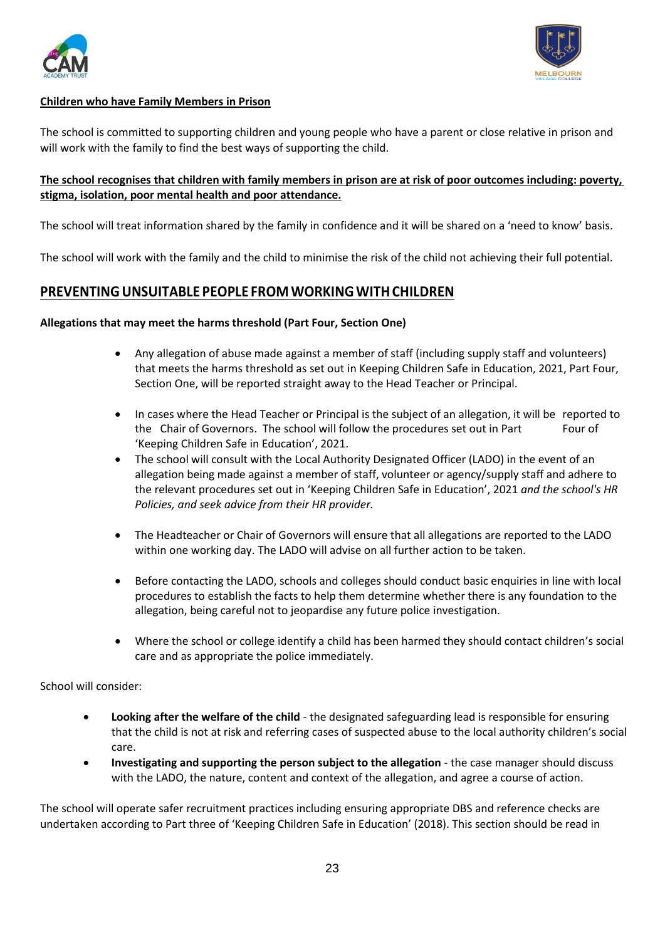



## <span id="page-22-0"></span>**Children who have Family Members in Prison**

The school is committed to supporting children and young people who have a parent or close relative in prison and will work with the family to find the best ways of supporting the child.

## <span id="page-22-1"></span>**The school recognises that children with family members in prison are at risk of poor outcomes including: poverty, stigma, isolation, poor mental health and poor attendance.**

The school will treat information shared by the family in confidence and it will be shared on a 'need to know' basis.

The school will work with the family and the child to minimise the risk of the child not achieving their full potential.

## <span id="page-22-2"></span>**PREVENTINGUNSUITABLE PEOPLE FROMWORKINGWITHCHILDREN**

#### **Allegations that may meet the harms threshold (Part Four, Section One)**

- Any allegation of abuse made against a member of staff (including supply staff and volunteers) that meets the harms threshold as set out in Keeping Children Safe in Education, 2021, Part Four, Section One, will be reported straight away to the Head Teacher or Principal.
- In cases where the Head Teacher or Principal is the subject of an allegation, it will be reported to the Chair of Governors. The school will follow the procedures set out in Part Four of 'Keeping Children Safe in Education', 2021.
- The school will consult with the Local Authority Designated Officer (LADO) in the event of an allegation being made against a member of staff, volunteer or agency/supply staff and adhere to the relevant procedures set out in 'Keeping Children Safe in Education', 2021 *and the school's HR Policies, and seek advice from their HR provider.*
- The Headteacher or Chair of Governors will ensure that all allegations are reported to the LADO within one working day. The LADO will advise on all further action to be taken.
- Before contacting the LADO, schools and colleges should conduct basic enquiries in line with local procedures to establish the facts to help them determine whether there is any foundation to the allegation, being careful not to jeopardise any future police investigation.
- Where the school or college identify a child has been harmed they should contact children's social care and as appropriate the police immediately.

School will consider:

- **Looking after the welfare of the child** the designated safeguarding lead is responsible for ensuring that the child is not at risk and referring cases of suspected abuse to the local authority children's social care.
- **Investigating and supporting the person subject to the allegation** the case manager should discuss with the LADO, the nature, content and context of the allegation, and agree a course of action.

The school will operate safer recruitment practices including ensuring appropriate DBS and reference checks are undertaken according to Part three of 'Keeping Children Safe in Education' (2018). This section should be read in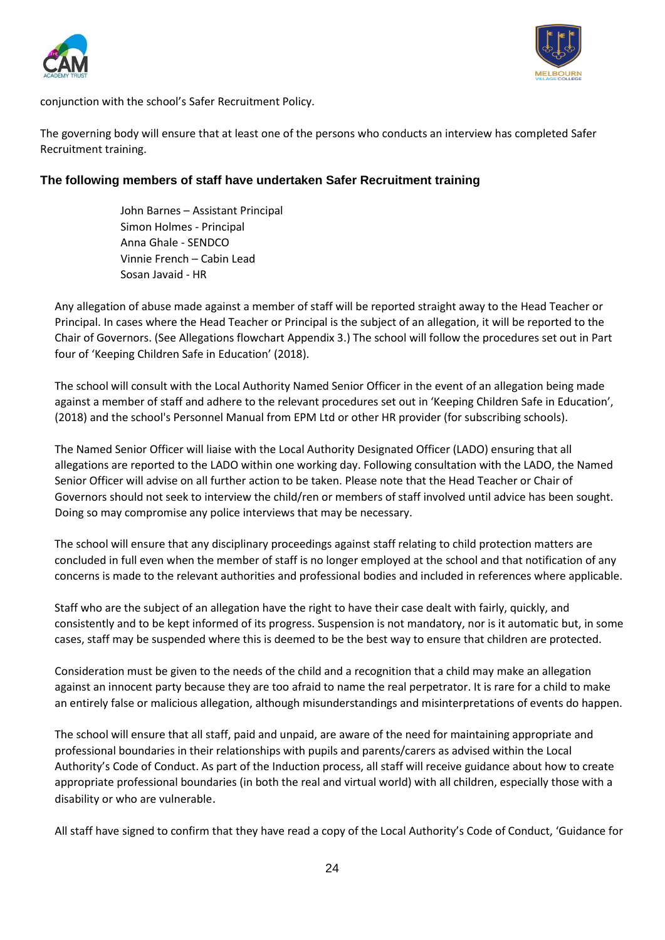



conjunction with the school's Safer Recruitment Policy.

The governing body will ensure that at least one of the persons who conducts an interview has completed Safer Recruitment training.

## **The following members of staff have undertaken Safer Recruitment training**

John Barnes – Assistant Principal Simon Holmes - Principal Anna Ghale - SENDCO Vinnie French – Cabin Lead Sosan Javaid - HR

Any allegation of abuse made against a member of staff will be reported straight away to the Head Teacher or Principal. In cases where the Head Teacher or Principal is the subject of an allegation, it will be reported to the Chair of Governors. (See Allegations flowchart Appendix 3.) The school will follow the procedures set out in Part four of 'Keeping Children Safe in Education' (2018).

The school will consult with the Local Authority Named Senior Officer in the event of an allegation being made against a member of staff and adhere to the relevant procedures set out in 'Keeping Children Safe in Education', (2018) and the school's Personnel Manual from EPM Ltd or other HR provider (for subscribing schools).

The Named Senior Officer will liaise with the Local Authority Designated Officer (LADO) ensuring that all allegations are reported to the LADO within one working day. Following consultation with the LADO, the Named Senior Officer will advise on all further action to be taken. Please note that the Head Teacher or Chair of Governors should not seek to interview the child/ren or members of staff involved until advice has been sought. Doing so may compromise any police interviews that may be necessary.

The school will ensure that any disciplinary proceedings against staff relating to child protection matters are concluded in full even when the member of staff is no longer employed at the school and that notification of any concerns is made to the relevant authorities and professional bodies and included in references where applicable.

Staff who are the subject of an allegation have the right to have their case dealt with fairly, quickly, and consistently and to be kept informed of its progress. Suspension is not mandatory, nor is it automatic but, in some cases, staff may be suspended where this is deemed to be the best way to ensure that children are protected.

Consideration must be given to the needs of the child and a recognition that a child may make an allegation against an innocent party because they are too afraid to name the real perpetrator. It is rare for a child to make an entirely false or malicious allegation, although misunderstandings and misinterpretations of events do happen.

The school will ensure that all staff, paid and unpaid, are aware of the need for maintaining appropriate and professional boundaries in their relationships with pupils and parents/carers as advised within the Local Authority's Code of Conduct. As part of the Induction process, all staff will receive guidance about how to create appropriate professional boundaries (in both the real and virtual world) with all children, especially those with a disability or who are vulnerable.

All staff have signed to confirm that they have read a copy of the Local Authority's Code of Conduct, 'Guidance for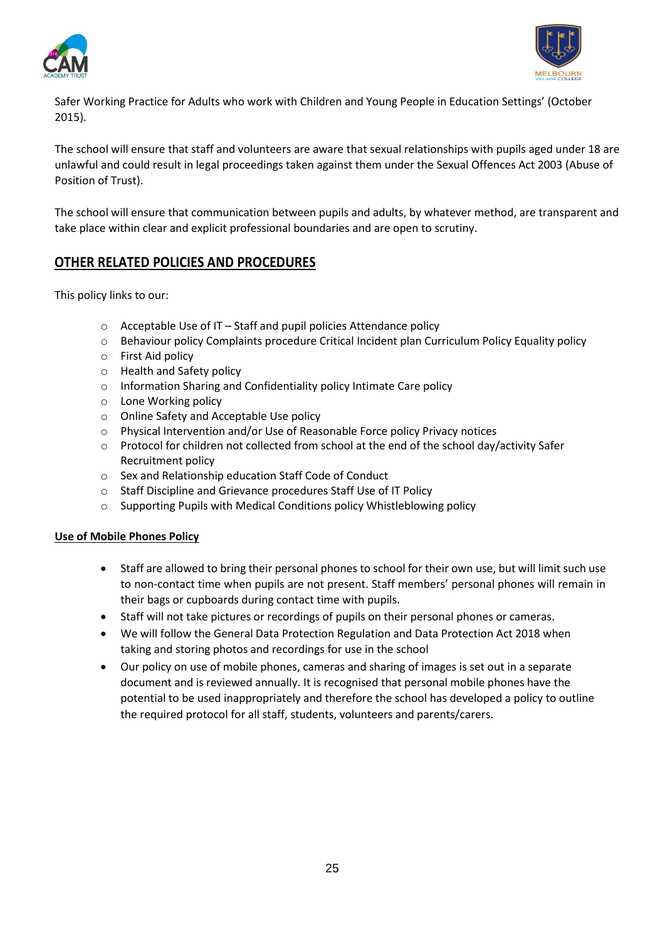



Safer Working Practice for Adults who work with Children and Young People in Education Settings' (October 2015).

The school will ensure that staff and volunteers are aware that sexual relationships with pupils aged under 18 are unlawful and could result in legal proceedings taken against them under the Sexual Offences Act 2003 (Abuse of Position of Trust).

The school will ensure that communication between pupils and adults, by whatever method, are transparent and take place within clear and explicit professional boundaries and are open to scrutiny.

## <span id="page-24-0"></span>**OTHER RELATED POLICIES AND PROCEDURES**

This policy links to our:

- o Acceptable Use of IT Staff and pupil policies Attendance policy
- o Behaviour policy Complaints procedure Critical Incident plan Curriculum Policy Equality policy
- o First Aid policy
- o Health and Safety policy
- o Information Sharing and Confidentiality policy Intimate Care policy
- o Lone Working policy
- o Online Safety and Acceptable Use policy
- o Physical Intervention and/or Use of Reasonable Force policy Privacy notices
- o Protocol for children not collected from school at the end of the school day/activity Safer Recruitment policy
- o Sex and Relationship education Staff Code of Conduct
- o Staff Discipline and Grievance procedures Staff Use of IT Policy
- o Supporting Pupils with Medical Conditions policy Whistleblowing policy

#### <span id="page-24-1"></span>**Use of Mobile Phones Policy**

- Staff are allowed to bring their personal phones to school for their own use, but will limit such use to non-contact time when pupils are not present. Staff members' personal phones will remain in their bags or cupboards during contact time with pupils.
- Staff will not take pictures or recordings of pupils on their personal phones or cameras.
- We will follow the General Data Protection Regulation and Data Protection Act 2018 when taking and storing photos and recordings for use in the school
- Our policy on use of mobile phones, cameras and sharing of images is set out in a separate document and is reviewed annually. It is recognised that personal mobile phones have the potential to be used inappropriately and therefore the school has developed a policy to outline the required protocol for all staff, students, volunteers and parents/carers.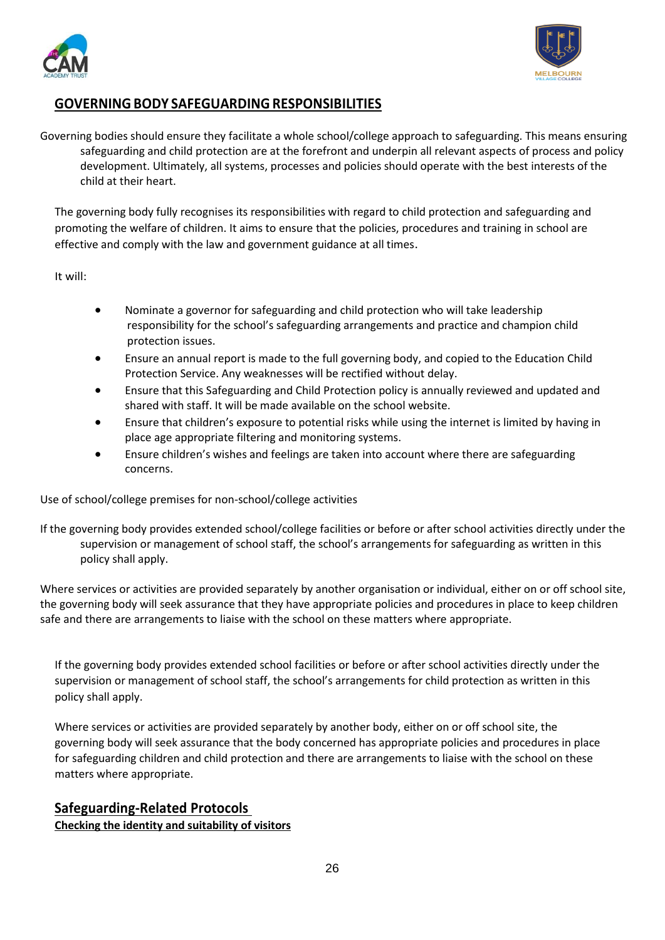



## <span id="page-25-0"></span>**GOVERNINGBODY SAFEGUARDING RESPONSIBILITIES**

Governing bodies should ensure they facilitate a whole school/college approach to safeguarding. This means ensuring safeguarding and child protection are at the forefront and underpin all relevant aspects of process and policy development. Ultimately, all systems, processes and policies should operate with the best interests of the child at their heart.

The governing body fully recognises its responsibilities with regard to child protection and safeguarding and promoting the welfare of children. It aims to ensure that the policies, procedures and training in school are effective and comply with the law and government guidance at all times.

It will:

- Nominate a governor for safeguarding and child protection who will take leadership responsibility for the school's safeguarding arrangements and practice and champion child protection issues.
- Ensure an annual report is made to the full governing body, and copied to the Education Child Protection Service. Any weaknesses will be rectified without delay.
- Ensure that this Safeguarding and Child Protection policy is annually reviewed and updated and shared with staff. It will be made available on the school website.
- Ensure that children's exposure to potential risks while using the internet is limited by having in place age appropriate filtering and monitoring systems.
- Ensure children's wishes and feelings are taken into account where there are safeguarding concerns.

Use of school/college premises for non-school/college activities

If the governing body provides extended school/college facilities or before or after school activities directly under the supervision or management of school staff, the school's arrangements for safeguarding as written in this policy shall apply.

Where services or activities are provided separately by another organisation or individual, either on or off school site, the governing body will seek assurance that they have appropriate policies and procedures in place to keep children safe and there are arrangements to liaise with the school on these matters where appropriate.

If the governing body provides extended school facilities or before or after school activities directly under the supervision or management of school staff, the school's arrangements for child protection as written in this policy shall apply.

Where services or activities are provided separately by another body, either on or off school site, the governing body will seek assurance that the body concerned has appropriate policies and procedures in place for safeguarding children and child protection and there are arrangements to liaise with the school on these matters where appropriate.

## <span id="page-25-1"></span>**Safeguarding-Related Protocols**

<span id="page-25-2"></span>**Checking the identity and suitability of visitors**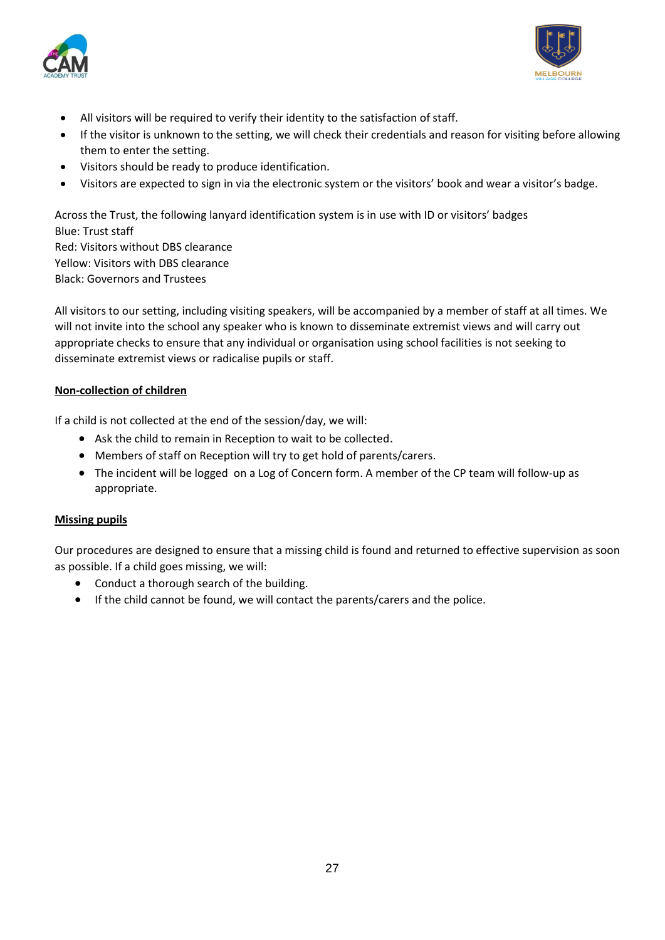



- All visitors will be required to verify their identity to the satisfaction of staff.
- If the visitor is unknown to the setting, we will check their credentials and reason for visiting before allowing them to enter the setting.
- Visitors should be ready to produce identification.
- Visitors are expected to sign in via the electronic system or the visitors' book and wear a visitor's badge.

Across the Trust, the following lanyard identification system is in use with ID or visitors' badges Blue: Trust staff Red: Visitors without DBS clearance Yellow: Visitors with DBS clearance

Black: Governors and Trustees

All visitors to our setting, including visiting speakers, will be accompanied by a member of staff at all times. We will not invite into the school any speaker who is known to disseminate extremist views and will carry out appropriate checks to ensure that any individual or organisation using school facilities is not seeking to disseminate extremist views or radicalise pupils or staff.

#### <span id="page-26-0"></span>**Non-collection of children**

If a child is not collected at the end of the session/day, we will:

- Ask the child to remain in Reception to wait to be collected.
- Members of staff on Reception will try to get hold of parents/carers.
- The incident will be logged on a Log of Concern form. A member of the CP team will follow-up as appropriate.

#### <span id="page-26-1"></span>**Missing pupils**

Our procedures are designed to ensure that a missing child is found and returned to effective supervision as soon as possible. If a child goes missing, we will:

- Conduct a thorough search of the building.
- If the child cannot be found, we will contact the parents/carers and the police.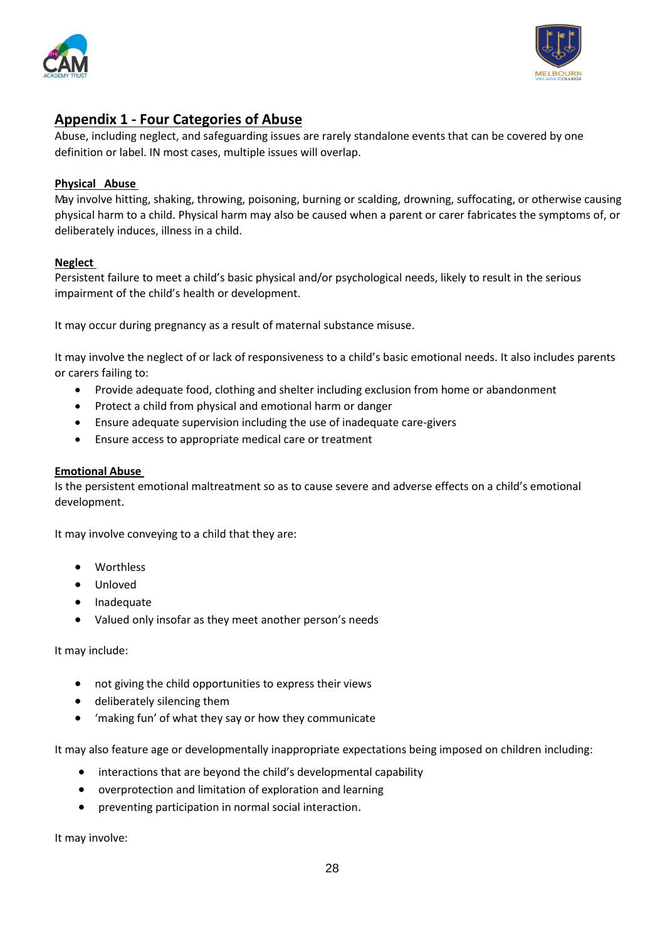



## <span id="page-27-0"></span>**Appendix 1 - Four Categories of Abuse**

Abuse, including neglect, and safeguarding issues are rarely standalone events that can be covered by one definition or label. IN most cases, multiple issues will overlap.

#### <span id="page-27-1"></span>**Physical Abuse**

May involve hitting, shaking, throwing, poisoning, burning or scalding, drowning, suffocating, or otherwise causing physical harm to a child. Physical harm may also be caused when a parent or carer fabricates the symptoms of, or deliberately induces, illness in a child.

#### <span id="page-27-2"></span>**Neglect**

Persistent failure to meet a child's basic physical and/or psychological needs, likely to result in the serious impairment of the child's health or development.

It may occur during pregnancy as a result of maternal substance misuse.

It may involve the neglect of or lack of responsiveness to a child's basic emotional needs. It also includes parents or carers failing to:

- Provide adequate food, clothing and shelter including exclusion from home or abandonment
- Protect a child from physical and emotional harm or danger
- Ensure adequate supervision including the use of inadequate care-givers
- Ensure access to appropriate medical care or treatment

#### <span id="page-27-3"></span>**Emotional Abuse**

Is the persistent emotional maltreatment so as to cause severe and adverse effects on a child's emotional development.

It may involve conveying to a child that they are:

- **Worthless**
- Unloved
- **Inadequate**
- Valued only insofar as they meet another person's needs

It may include:

- not giving the child opportunities to express their views
- deliberately silencing them
- 'making fun' of what they say or how they communicate

It may also feature age or developmentally inappropriate expectations being imposed on children including:

- interactions that are beyond the child's developmental capability
- overprotection and limitation of exploration and learning
- preventing participation in normal social interaction.

It may involve: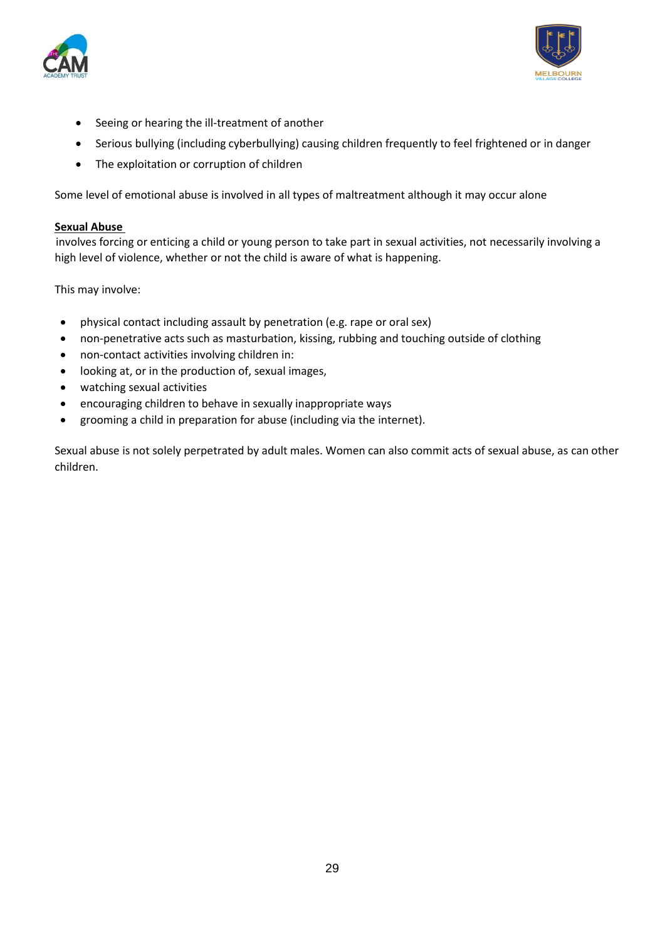



- Seeing or hearing the ill-treatment of another
- Serious bullying (including cyberbullying) causing children frequently to feel frightened or in danger
- The exploitation or corruption of children

Some level of emotional abuse is involved in all types of maltreatment although it may occur alone

#### <span id="page-28-0"></span>**Sexual Abuse**

involves forcing or enticing a child or young person to take part in sexual activities, not necessarily involving a high level of violence, whether or not the child is aware of what is happening.

This may involve:

- physical contact including assault by penetration (e.g. rape or oral sex)
- non-penetrative acts such as masturbation, kissing, rubbing and touching outside of clothing
- non-contact activities involving children in:
- looking at, or in the production of, sexual images,
- watching sexual activities
- encouraging children to behave in sexually inappropriate ways
- grooming a child in preparation for abuse (including via the internet).

Sexual abuse is not solely perpetrated by adult males. Women can also commit acts of sexual abuse, as can other children.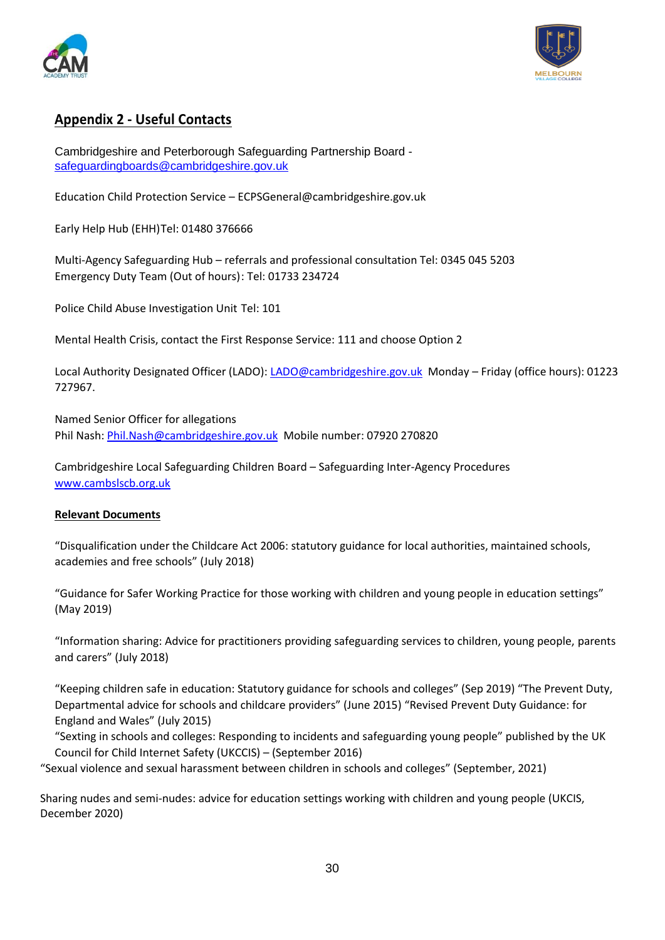



## <span id="page-29-0"></span>**Appendix 2 - Useful Contacts**

Cambridgeshire and Peterborough Safeguarding Partnership Board [safeguardingboards@cambridgeshire.gov.uk](mailto:safeguardingboards@cambridgeshire.gov.uk)

Education Child Protection Service – [ECPSGeneral@cambridgeshire.gov.uk](mailto:ECPSGeneral@cambridgeshire.gov.uk)

Early Help Hub (EHH)Tel: 01480 376666

Multi-Agency Safeguarding Hub – referrals and professional consultation Tel: 0345 045 5203 Emergency Duty Team (Out of hours): Tel: 01733 234724

Police Child Abuse Investigation Unit Tel: 101

Mental Health Crisis, contact the First Response Service: 111 and choose Option 2

Local Authority Designated Officer (LADO): [LADO@cambridgeshire.gov.uk](mailto:LADO@cambridgeshire.gov.uk) Monday – Friday (office hours): 01223 727967.

Named Senior Officer for allegations Phil Nash: [Phil.Nash@cambridgeshire.gov.uk](mailto:Phil.Nash@cambridgeshire.gov.uk) Mobile number: 07920 270820

Cambridgeshire Local Safeguarding Children Board – Safeguarding Inter-Agency Procedures [www.cambslscb.org.uk](http://www.cambslscb.org.uk/)

## <span id="page-29-1"></span>**Relevant Documents**

"Disqualification under the Childcare Act 2006: statutory guidance for local authorities, maintained schools, academies and free schools" (July 2018)

"Guidance for Safer Working Practice for those working with children and young people in education settings" (May 2019)

"Information sharing: Advice for practitioners providing safeguarding services to children, young people, parents and carers" (July 2018)

"Keeping children safe in education: Statutory guidance for schools and colleges" (Sep 2019) "The Prevent Duty, Departmental advice for schools and childcare providers" (June 2015) "Revised Prevent Duty Guidance: for England and Wales" (July 2015)

"Sexting in schools and colleges: Responding to incidents and safeguarding young people" published by the UK Council for Child Internet Safety (UKCCIS) – (September 2016)

"Sexual violence and sexual harassment between children in schools and colleges" (September, 2021)

Sharing nudes and semi-nudes: advice for education settings working with children and young people (UKCIS, December 2020)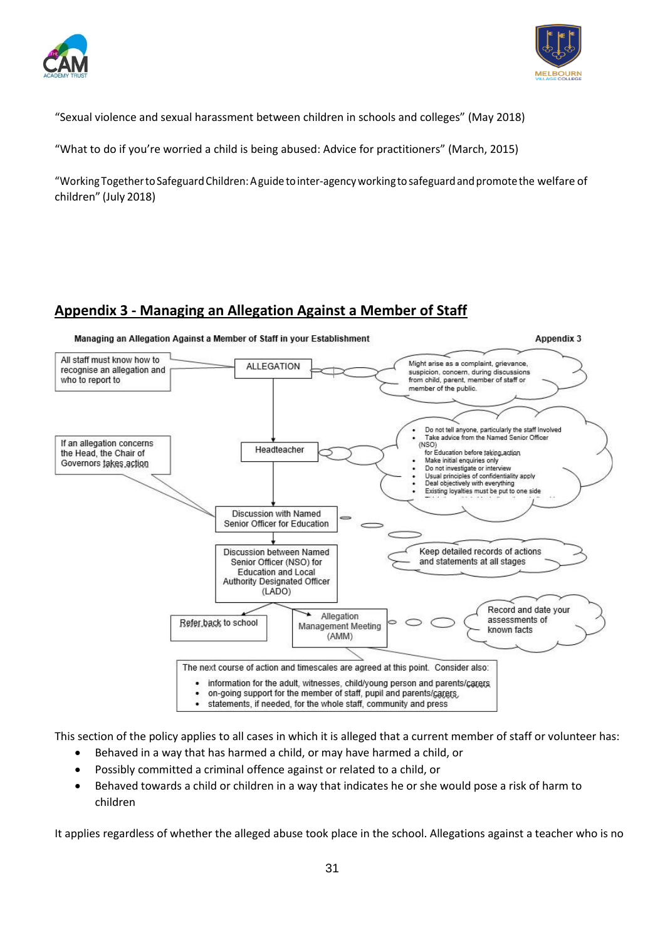



"Sexual violence and sexual harassment between children in schools and colleges" (May 2018)

"What to do if you're worried a child is being abused: Advice for practitioners" (March, 2015)

"Working Togetherto Safeguard Children:Aguide tointer-agencyworkingto safeguardandpromotethe welfare of children" (July 2018)

## <span id="page-30-0"></span>**Appendix 3 - Managing an Allegation Against a Member of Staff**



This section of the policy applies to all cases in which it is alleged that a current member of staff or volunteer has:

- Behaved in a way that has harmed a child, or may have harmed a child, or
- Possibly committed a criminal offence against or related to a child, or
- Behaved towards a child or children in a way that indicates he or she would pose a risk of harm to children

It applies regardless of whether the alleged abuse took place in the school. Allegations against a teacher who is no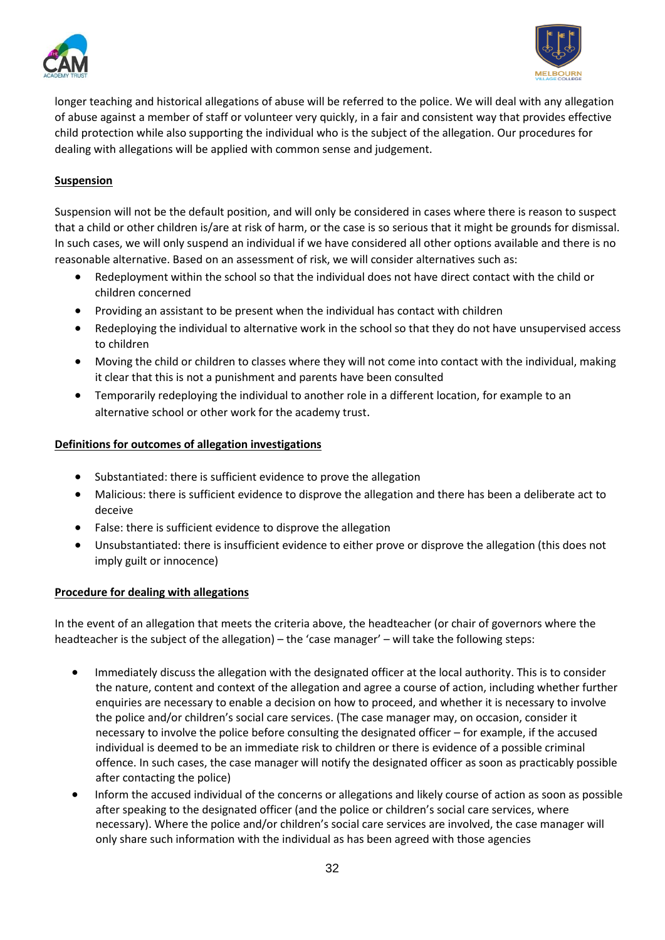



longer teaching and historical allegations of abuse will be referred to the police. We will deal with any allegation of abuse against a member of staff or volunteer very quickly, in a fair and consistent way that provides effective child protection while also supporting the individual who is the subject of the allegation. Our procedures for dealing with allegations will be applied with common sense and judgement.

## <span id="page-31-0"></span>**Suspension**

Suspension will not be the default position, and will only be considered in cases where there is reason to suspect that a child or other children is/are at risk of harm, or the case is so serious that it might be grounds for dismissal. In such cases, we will only suspend an individual if we have considered all other options available and there is no reasonable alternative. Based on an assessment of risk, we will consider alternatives such as:

- Redeployment within the school so that the individual does not have direct contact with the child or children concerned
- Providing an assistant to be present when the individual has contact with children
- Redeploying the individual to alternative work in the school so that they do not have unsupervised access to children
- Moving the child or children to classes where they will not come into contact with the individual, making it clear that this is not a punishment and parents have been consulted
- Temporarily redeploying the individual to another role in a different location, for example to an alternative school or other work for the academy trust.

#### <span id="page-31-1"></span>**Definitions for outcomes of allegation investigations**

- Substantiated: there is sufficient evidence to prove the allegation
- Malicious: there is sufficient evidence to disprove the allegation and there has been a deliberate act to deceive
- False: there is sufficient evidence to disprove the allegation
- Unsubstantiated: there is insufficient evidence to either prove or disprove the allegation (this does not imply guilt or innocence)

#### <span id="page-31-2"></span>**Procedure for dealing with allegations**

In the event of an allegation that meets the criteria above, the headteacher (or chair of governors where the headteacher is the subject of the allegation) – the 'case manager' – will take the following steps:

- Immediately discuss the allegation with the designated officer at the local authority. This is to consider the nature, content and context of the allegation and agree a course of action, including whether further enquiries are necessary to enable a decision on how to proceed, and whether it is necessary to involve the police and/or children's social care services. (The case manager may, on occasion, consider it necessary to involve the police before consulting the designated officer – for example, if the accused individual is deemed to be an immediate risk to children or there is evidence of a possible criminal offence. In such cases, the case manager will notify the designated officer as soon as practicably possible after contacting the police)
- Inform the accused individual of the concerns or allegations and likely course of action as soon as possible after speaking to the designated officer (and the police or children's social care services, where necessary). Where the police and/or children's social care services are involved, the case manager will only share such information with the individual as has been agreed with those agencies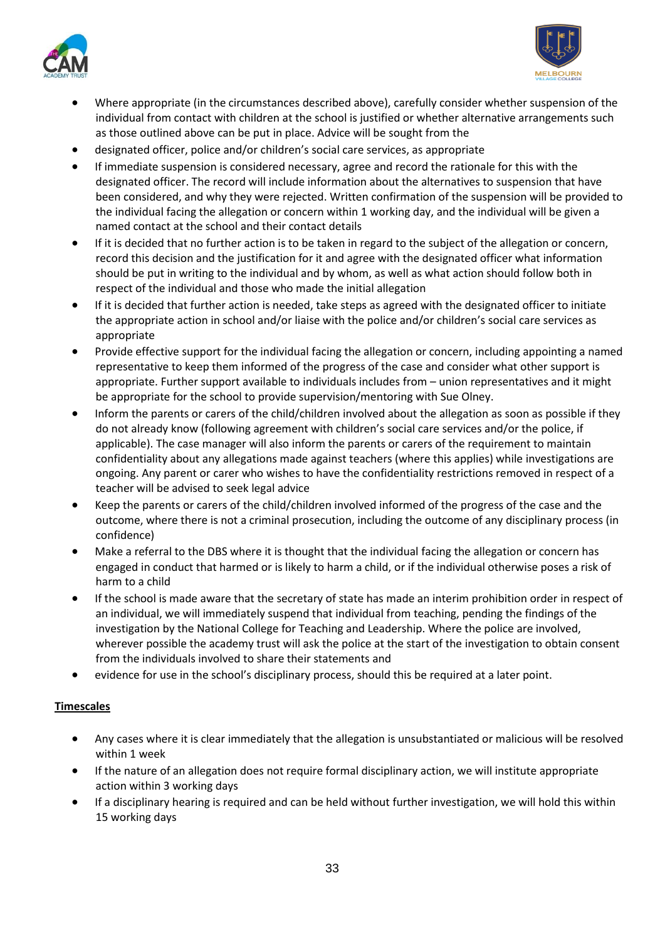



- Where appropriate (in the circumstances described above), carefully consider whether suspension of the individual from contact with children at the school is justified or whether alternative arrangements such as those outlined above can be put in place. Advice will be sought from the
- designated officer, police and/or children's social care services, as appropriate
- If immediate suspension is considered necessary, agree and record the rationale for this with the designated officer. The record will include information about the alternatives to suspension that have been considered, and why they were rejected. Written confirmation of the suspension will be provided to the individual facing the allegation or concern within 1 working day, and the individual will be given a named contact at the school and their contact details
- If it is decided that no further action is to be taken in regard to the subject of the allegation or concern, record this decision and the justification for it and agree with the designated officer what information should be put in writing to the individual and by whom, as well as what action should follow both in respect of the individual and those who made the initial allegation
- If it is decided that further action is needed, take steps as agreed with the designated officer to initiate the appropriate action in school and/or liaise with the police and/or children's social care services as appropriate
- Provide effective support for the individual facing the allegation or concern, including appointing a named representative to keep them informed of the progress of the case and consider what other support is appropriate. Further support available to individuals includes from – union representatives and it might be appropriate for the school to provide supervision/mentoring with Sue Olney.
- Inform the parents or carers of the child/children involved about the allegation as soon as possible if they do not already know (following agreement with children's social care services and/or the police, if applicable). The case manager will also inform the parents or carers of the requirement to maintain confidentiality about any allegations made against teachers (where this applies) while investigations are ongoing. Any parent or carer who wishes to have the confidentiality restrictions removed in respect of a teacher will be advised to seek legal advice
- Keep the parents or carers of the child/children involved informed of the progress of the case and the outcome, where there is not a criminal prosecution, including the outcome of any disciplinary process (in confidence)
- Make a referral to the DBS where it is thought that the individual facing the allegation or concern has engaged in conduct that harmed or is likely to harm a child, or if the individual otherwise poses a risk of harm to a child
- If the school is made aware that the secretary of state has made an interim prohibition order in respect of an individual, we will immediately suspend that individual from teaching, pending the findings of the investigation by the National College for Teaching and Leadership. Where the police are involved, wherever possible the academy trust will ask the police at the start of the investigation to obtain consent from the individuals involved to share their statements and
- evidence for use in the school's disciplinary process, should this be required at a later point.

## <span id="page-32-0"></span>**Timescales**

- Any cases where it is clear immediately that the allegation is unsubstantiated or malicious will be resolved within 1 week
- If the nature of an allegation does not require formal disciplinary action, we will institute appropriate action within 3 working days
- If a disciplinary hearing is required and can be held without further investigation, we will hold this within 15 working days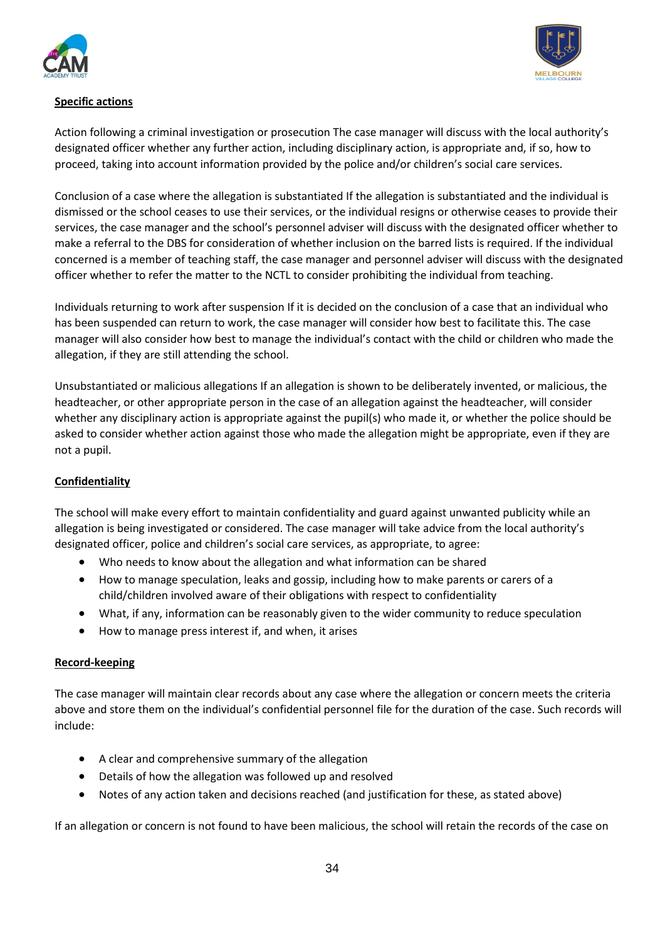



## <span id="page-33-0"></span>**Specific actions**

Action following a criminal investigation or prosecution The case manager will discuss with the local authority's designated officer whether any further action, including disciplinary action, is appropriate and, if so, how to proceed, taking into account information provided by the police and/or children's social care services.

Conclusion of a case where the allegation is substantiated If the allegation is substantiated and the individual is dismissed or the school ceases to use their services, or the individual resigns or otherwise ceases to provide their services, the case manager and the school's personnel adviser will discuss with the designated officer whether to make a referral to the DBS for consideration of whether inclusion on the barred lists is required. If the individual concerned is a member of teaching staff, the case manager and personnel adviser will discuss with the designated officer whether to refer the matter to the NCTL to consider prohibiting the individual from teaching.

Individuals returning to work after suspension If it is decided on the conclusion of a case that an individual who has been suspended can return to work, the case manager will consider how best to facilitate this. The case manager will also consider how best to manage the individual's contact with the child or children who made the allegation, if they are still attending the school.

Unsubstantiated or malicious allegations If an allegation is shown to be deliberately invented, or malicious, the headteacher, or other appropriate person in the case of an allegation against the headteacher, will consider whether any disciplinary action is appropriate against the pupil(s) who made it, or whether the police should be asked to consider whether action against those who made the allegation might be appropriate, even if they are not a pupil.

## <span id="page-33-1"></span>**Confidentiality**

The school will make every effort to maintain confidentiality and guard against unwanted publicity while an allegation is being investigated or considered. The case manager will take advice from the local authority's designated officer, police and children's social care services, as appropriate, to agree:

- Who needs to know about the allegation and what information can be shared
- How to manage speculation, leaks and gossip, including how to make parents or carers of a child/children involved aware of their obligations with respect to confidentiality
- What, if any, information can be reasonably given to the wider community to reduce speculation
- How to manage press interest if, and when, it arises

## <span id="page-33-2"></span>**Record-keeping**

The case manager will maintain clear records about any case where the allegation or concern meets the criteria above and store them on the individual's confidential personnel file for the duration of the case. Such records will include:

- A clear and comprehensive summary of the allegation
- Details of how the allegation was followed up and resolved
- Notes of any action taken and decisions reached (and justification for these, as stated above)

If an allegation or concern is not found to have been malicious, the school will retain the records of the case on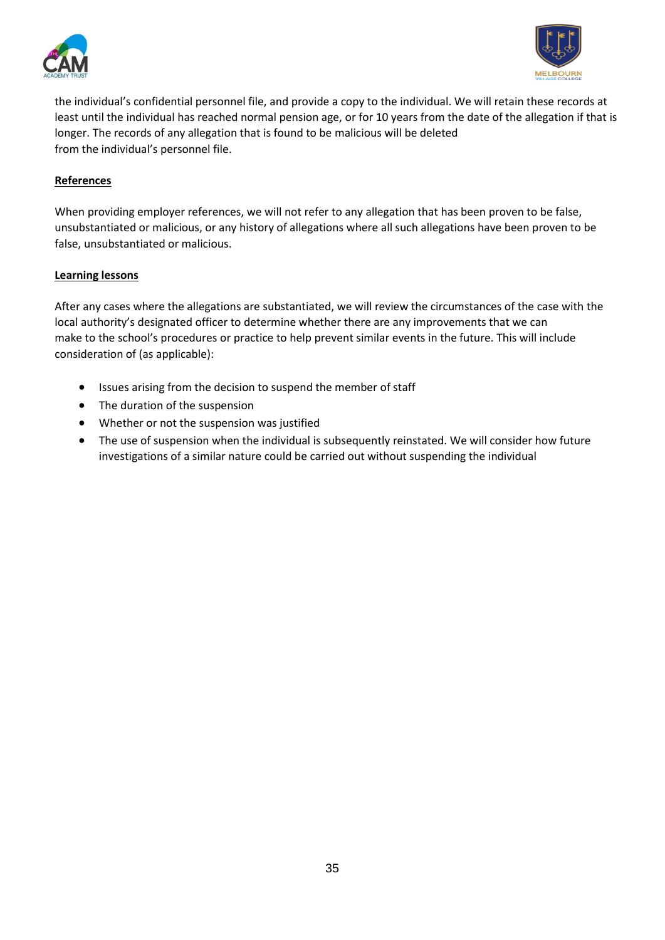



the individual's confidential personnel file, and provide a copy to the individual. We will retain these records at least until the individual has reached normal pension age, or for 10 years from the date of the allegation if that is longer. The records of any allegation that is found to be malicious will be deleted from the individual's personnel file.

#### <span id="page-34-0"></span>**References**

When providing employer references, we will not refer to any allegation that has been proven to be false, unsubstantiated or malicious, or any history of allegations where all such allegations have been proven to be false, unsubstantiated or malicious.

#### <span id="page-34-1"></span>**Learning lessons**

After any cases where the allegations are substantiated, we will review the circumstances of the case with the local authority's designated officer to determine whether there are any improvements that we can make to the school's procedures or practice to help prevent similar events in the future. This will include consideration of (as applicable):

- Issues arising from the decision to suspend the member of staff
- The duration of the suspension
- Whether or not the suspension was justified
- The use of suspension when the individual is subsequently reinstated. We will consider how future investigations of a similar nature could be carried out without suspending the individual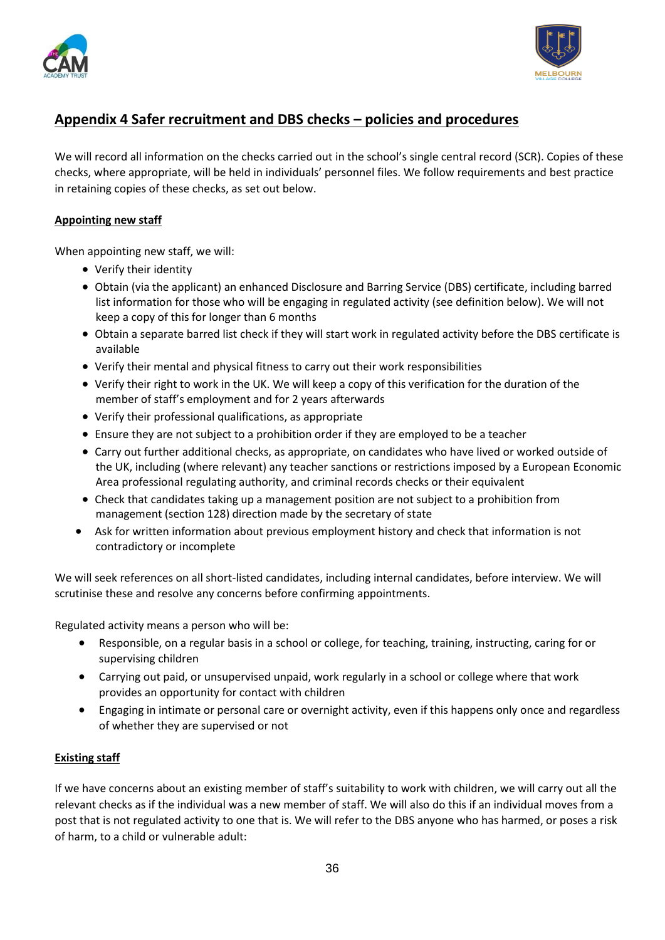



## <span id="page-35-0"></span>**Appendix 4 Safer recruitment and DBS checks – policies and procedures**

We will record all information on the checks carried out in the school's single central record (SCR). Copies of these checks, where appropriate, will be held in individuals' personnel files. We follow requirements and best practice in retaining copies of these checks, as set out below.

#### <span id="page-35-1"></span>**Appointing new staff**

When appointing new staff, we will:

- Verify their identity
- Obtain (via the applicant) an enhanced Disclosure and Barring Service (DBS) certificate, including barred list information for those who will be engaging in regulated activity (see definition below). We will not keep a copy of this for longer than 6 months
- Obtain a separate barred list check if they will start work in regulated activity before the DBS certificate is available
- Verify their mental and physical fitness to carry out their work responsibilities
- Verify their right to work in the UK. We will keep a copy of this verification for the duration of the member of staff's employment and for 2 years afterwards
- Verify their professional qualifications, as appropriate
- Ensure they are not subject to a prohibition order if they are employed to be a teacher
- Carry out further additional checks, as appropriate, on candidates who have lived or worked outside of the UK, including (where relevant) any teacher sanctions or restrictions imposed by a European Economic Area professional regulating authority, and criminal records checks or their equivalent
- Check that candidates taking up a management position are not subject to a prohibition from management (section 128) direction made by the secretary of state
- Ask for written information about previous employment history and check that information is not contradictory or incomplete

We will seek references on all short-listed candidates, including internal candidates, before interview. We will scrutinise these and resolve any concerns before confirming appointments.

Regulated activity means a person who will be:

- Responsible, on a regular basis in a school or college, for teaching, training, instructing, caring for or supervising children
- Carrying out paid, or unsupervised unpaid, work regularly in a school or college where that work provides an opportunity for contact with children
- Engaging in intimate or personal care or overnight activity, even if this happens only once and regardless of whether they are supervised or not

#### <span id="page-35-2"></span>**Existing staff**

If we have concerns about an existing member of staff's suitability to work with children, we will carry out all the relevant checks as if the individual was a new member of staff. We will also do this if an individual moves from a post that is not regulated activity to one that is. We will refer to the DBS anyone who has harmed, or poses a risk of harm, to a child or vulnerable adult: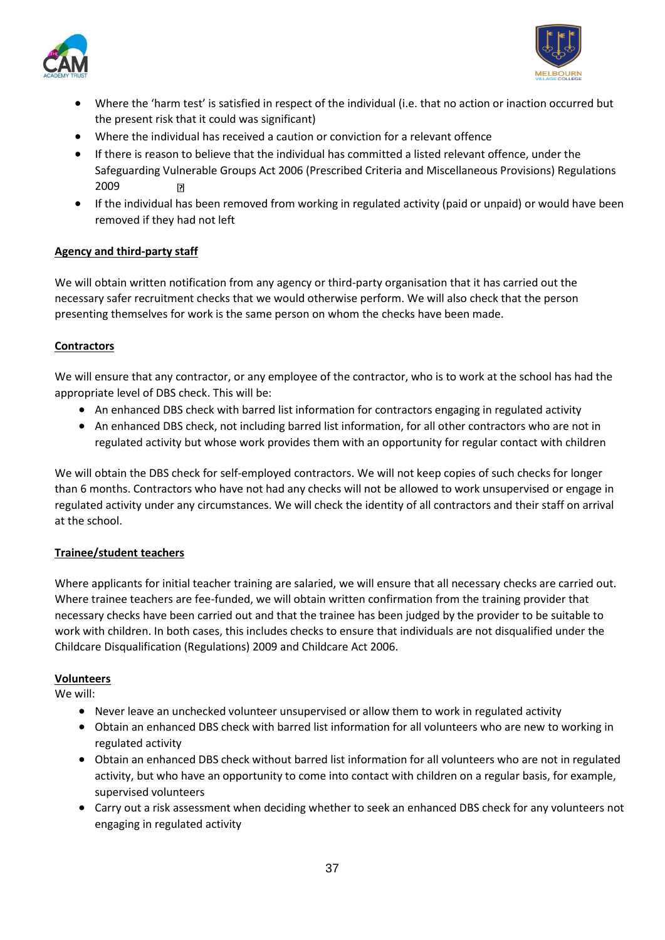



- Where the 'harm test' is satisfied in respect of the individual (i.e. that no action or inaction occurred but the present risk that it could was significant)
- Where the individual has received a caution or conviction for a relevant offence
- If there is reason to believe that the individual has committed a listed relevant offence, under the Safeguarding Vulnerable Groups Act 2006 (Prescribed Criteria and Miscellaneous Provisions) Regulations 2009  $\vert \cdot \vert$
- If the individual has been removed from working in regulated activity (paid or unpaid) or would have been removed if they had not left

## <span id="page-36-0"></span>**Agency and third-party staff**

We will obtain written notification from any agency or third-party organisation that it has carried out the necessary safer recruitment checks that we would otherwise perform. We will also check that the person presenting themselves for work is the same person on whom the checks have been made.

## <span id="page-36-1"></span>**Contractors**

We will ensure that any contractor, or any employee of the contractor, who is to work at the school has had the appropriate level of DBS check. This will be:

- An enhanced DBS check with barred list information for contractors engaging in regulated activity
- An enhanced DBS check, not including barred list information, for all other contractors who are not in regulated activity but whose work provides them with an opportunity for regular contact with children

We will obtain the DBS check for self-employed contractors. We will not keep copies of such checks for longer than 6 months. Contractors who have not had any checks will not be allowed to work unsupervised or engage in regulated activity under any circumstances. We will check the identity of all contractors and their staff on arrival at the school.

## <span id="page-36-2"></span>**Trainee/student teachers**

Where applicants for initial teacher training are salaried, we will ensure that all necessary checks are carried out. Where trainee teachers are fee-funded, we will obtain written confirmation from the training provider that necessary checks have been carried out and that the trainee has been judged by the provider to be suitable to work with children. In both cases, this includes checks to ensure that individuals are not disqualified under the Childcare Disqualification (Regulations) 2009 and Childcare Act 2006.

## <span id="page-36-3"></span>**Volunteers**

We will:

- Never leave an unchecked volunteer unsupervised or allow them to work in regulated activity
- Obtain an enhanced DBS check with barred list information for all volunteers who are new to working in regulated activity
- Obtain an enhanced DBS check without barred list information for all volunteers who are not in regulated activity, but who have an opportunity to come into contact with children on a regular basis, for example, supervised volunteers
- Carry out a risk assessment when deciding whether to seek an enhanced DBS check for any volunteers not engaging in regulated activity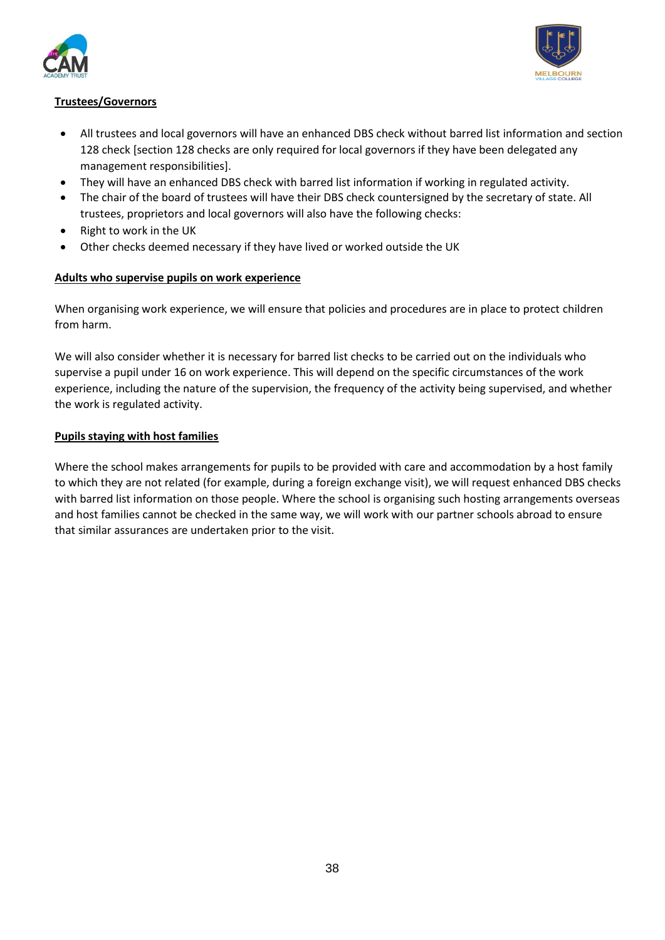



## <span id="page-37-0"></span>**Trustees/Governors**

- All trustees and local governors will have an enhanced DBS check without barred list information and section 128 check [section 128 checks are only required for local governors if they have been delegated any management responsibilities].
- They will have an enhanced DBS check with barred list information if working in regulated activity.
- The chair of the board of trustees will have their DBS check countersigned by the secretary of state. All trustees, proprietors and local governors will also have the following checks:
- Right to work in the UK
- Other checks deemed necessary if they have lived or worked outside the UK

## <span id="page-37-1"></span>**Adults who supervise pupils on work experience**

When organising work experience, we will ensure that policies and procedures are in place to protect children from harm.

We will also consider whether it is necessary for barred list checks to be carried out on the individuals who supervise a pupil under 16 on work experience. This will depend on the specific circumstances of the work experience, including the nature of the supervision, the frequency of the activity being supervised, and whether the work is regulated activity.

#### <span id="page-37-2"></span>**Pupils staying with host families**

Where the school makes arrangements for pupils to be provided with care and accommodation by a host family to which they are not related (for example, during a foreign exchange visit), we will request enhanced DBS checks with barred list information on those people. Where the school is organising such hosting arrangements overseas and host families cannot be checked in the same way, we will work with our partner schools abroad to ensure that similar assurances are undertaken prior to the visit.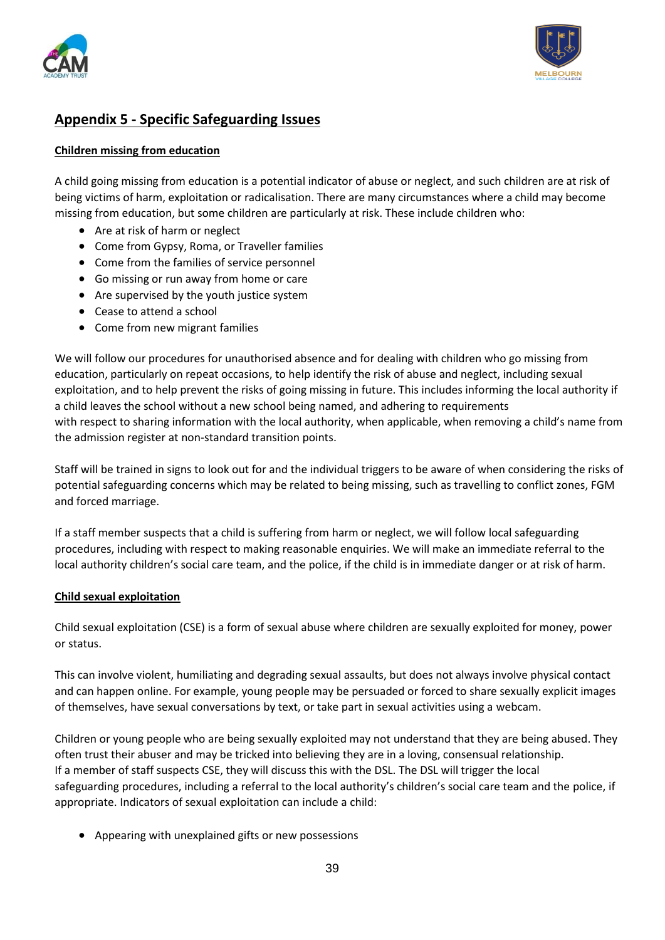



## <span id="page-38-0"></span>**Appendix 5 - Specific Safeguarding Issues**

#### <span id="page-38-1"></span>**Children missing from education**

A child going missing from education is a potential indicator of abuse or neglect, and such children are at risk of being victims of harm, exploitation or radicalisation. There are many circumstances where a child may become missing from education, but some children are particularly at risk. These include children who:

- Are at risk of harm or neglect
- Come from Gypsy, Roma, or Traveller families
- Come from the families of service personnel
- Go missing or run away from home or care
- Are supervised by the youth justice system
- Cease to attend a school
- Come from new migrant families

We will follow our procedures for unauthorised absence and for dealing with children who go missing from education, particularly on repeat occasions, to help identify the risk of abuse and neglect, including sexual exploitation, and to help prevent the risks of going missing in future. This includes informing the local authority if a child leaves the school without a new school being named, and adhering to requirements with respect to sharing information with the local authority, when applicable, when removing a child's name from the admission register at non-standard transition points.

Staff will be trained in signs to look out for and the individual triggers to be aware of when considering the risks of potential safeguarding concerns which may be related to being missing, such as travelling to conflict zones, FGM and forced marriage.

If a staff member suspects that a child is suffering from harm or neglect, we will follow local safeguarding procedures, including with respect to making reasonable enquiries. We will make an immediate referral to the local authority children's social care team, and the police, if the child is in immediate danger or at risk of harm.

#### <span id="page-38-2"></span>**Child sexual exploitation**

Child sexual exploitation (CSE) is a form of sexual abuse where children are sexually exploited for money, power or status.

This can involve violent, humiliating and degrading sexual assaults, but does not always involve physical contact and can happen online. For example, young people may be persuaded or forced to share sexually explicit images of themselves, have sexual conversations by text, or take part in sexual activities using a webcam.

Children or young people who are being sexually exploited may not understand that they are being abused. They often trust their abuser and may be tricked into believing they are in a loving, consensual relationship. If a member of staff suspects CSE, they will discuss this with the DSL. The DSL will trigger the local safeguarding procedures, including a referral to the local authority's children's social care team and the police, if appropriate. Indicators of sexual exploitation can include a child:

• Appearing with unexplained gifts or new possessions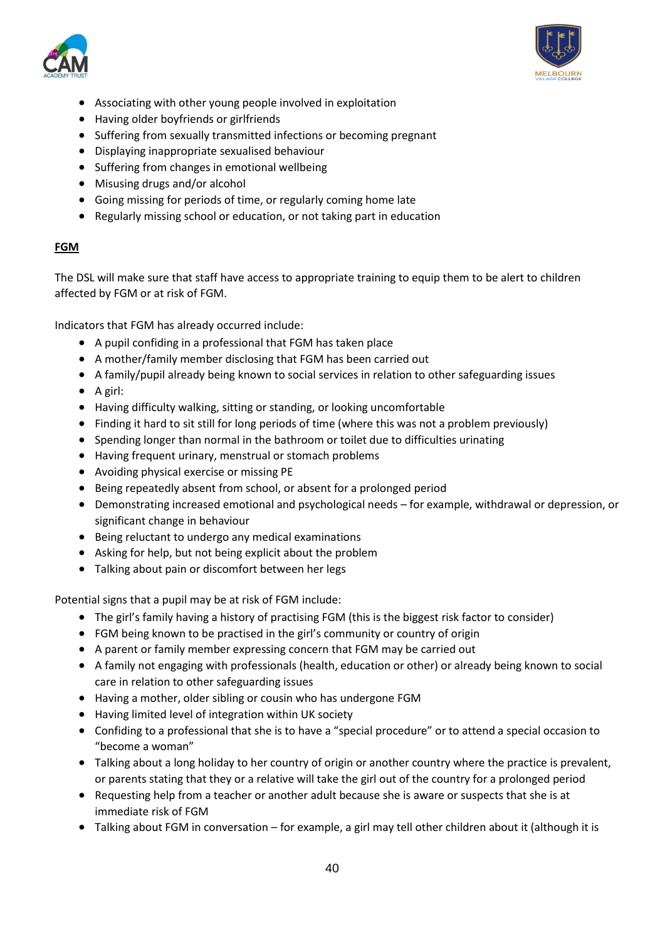



- Associating with other young people involved in exploitation
- Having older boyfriends or girlfriends
- Suffering from sexually transmitted infections or becoming pregnant
- Displaying inappropriate sexualised behaviour
- Suffering from changes in emotional wellbeing
- Misusing drugs and/or alcohol
- Going missing for periods of time, or regularly coming home late
- Regularly missing school or education, or not taking part in education

#### <span id="page-39-0"></span>**FGM**

The DSL will make sure that staff have access to appropriate training to equip them to be alert to children affected by FGM or at risk of FGM.

Indicators that FGM has already occurred include:

- A pupil confiding in a professional that FGM has taken place
- A mother/family member disclosing that FGM has been carried out
- A family/pupil already being known to social services in relation to other safeguarding issues
- A girl:
- Having difficulty walking, sitting or standing, or looking uncomfortable
- Finding it hard to sit still for long periods of time (where this was not a problem previously)
- Spending longer than normal in the bathroom or toilet due to difficulties urinating
- Having frequent urinary, menstrual or stomach problems
- Avoiding physical exercise or missing PE
- Being repeatedly absent from school, or absent for a prolonged period
- Demonstrating increased emotional and psychological needs for example, withdrawal or depression, or significant change in behaviour
- Being reluctant to undergo any medical examinations
- Asking for help, but not being explicit about the problem
- Talking about pain or discomfort between her legs

Potential signs that a pupil may be at risk of FGM include:

- The girl's family having a history of practising FGM (this is the biggest risk factor to consider)
- FGM being known to be practised in the girl's community or country of origin
- A parent or family member expressing concern that FGM may be carried out
- A family not engaging with professionals (health, education or other) or already being known to social care in relation to other safeguarding issues
- Having a mother, older sibling or cousin who has undergone FGM
- Having limited level of integration within UK society
- Confiding to a professional that she is to have a "special procedure" or to attend a special occasion to "become a woman"
- Talking about a long holiday to her country of origin or another country where the practice is prevalent, or parents stating that they or a relative will take the girl out of the country for a prolonged period
- Requesting help from a teacher or another adult because she is aware or suspects that she is at immediate risk of FGM
- Talking about FGM in conversation for example, a girl may tell other children about it (although it is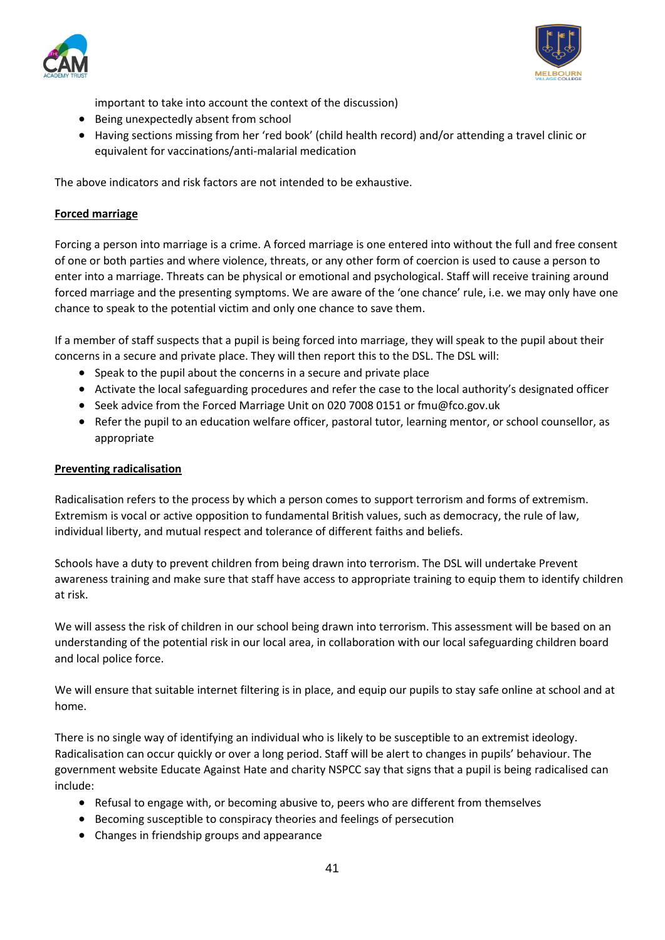



important to take into account the context of the discussion)

- Being unexpectedly absent from school
- Having sections missing from her 'red book' (child health record) and/or attending a travel clinic or equivalent for vaccinations/anti-malarial medication

The above indicators and risk factors are not intended to be exhaustive.

## <span id="page-40-0"></span>**Forced marriage**

Forcing a person into marriage is a crime. A forced marriage is one entered into without the full and free consent of one or both parties and where violence, threats, or any other form of coercion is used to cause a person to enter into a marriage. Threats can be physical or emotional and psychological. Staff will receive training around forced marriage and the presenting symptoms. We are aware of the 'one chance' rule, i.e. we may only have one chance to speak to the potential victim and only one chance to save them.

If a member of staff suspects that a pupil is being forced into marriage, they will speak to the pupil about their concerns in a secure and private place. They will then report this to the DSL. The DSL will:

- Speak to the pupil about the concerns in a secure and private place
- Activate the local safeguarding procedures and refer the case to the local authority's designated officer
- Seek advice from the Forced Marriage Unit on 020 7008 0151 or [fmu@fco.gov.uk](mailto:fmu@fco.gov.uk)
- Refer the pupil to an education welfare officer, pastoral tutor, learning mentor, or school counsellor, as appropriate

#### <span id="page-40-1"></span>**Preventing radicalisation**

Radicalisation refers to the process by which a person comes to support terrorism and forms of extremism. Extremism is vocal or active opposition to fundamental British values, such as democracy, the rule of law, individual liberty, and mutual respect and tolerance of different faiths and beliefs.

Schools have a duty to prevent children from being drawn into terrorism. The DSL will undertake Prevent awareness training and make sure that staff have access to appropriate training to equip them to identify children at risk.

We will assess the risk of children in our school being drawn into terrorism. This assessment will be based on an understanding of the potential risk in our local area, in collaboration with our local safeguarding children board and local police force.

We will ensure that suitable internet filtering is in place, and equip our pupils to stay safe online at school and at home.

There is no single way of identifying an individual who is likely to be susceptible to an extremist ideology. Radicalisation can occur quickly or over a long period. Staff will be alert to changes in pupils' behaviour. The government website Educate Against Hate and charity NSPCC say that signs that a pupil is being radicalised can include:

- Refusal to engage with, or becoming abusive to, peers who are different from themselves
- Becoming susceptible to conspiracy theories and feelings of persecution
- Changes in friendship groups and appearance